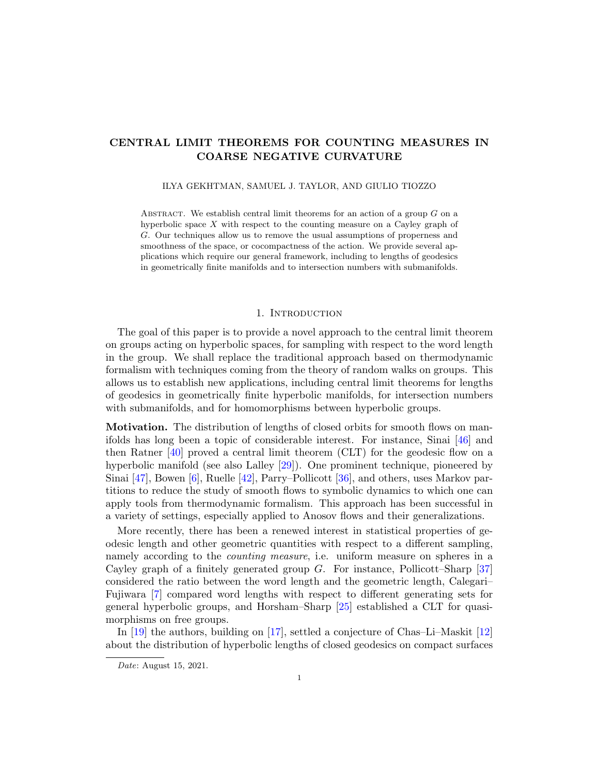# CENTRAL LIMIT THEOREMS FOR COUNTING MEASURES IN COARSE NEGATIVE CURVATURE

#### ILYA GEKHTMAN, SAMUEL J. TAYLOR, AND GIULIO TIOZZO

ABSTRACT. We establish central limit theorems for an action of a group  $G$  on a hyperbolic space X with respect to the counting measure on a Cayley graph of G. Our techniques allow us to remove the usual assumptions of properness and smoothness of the space, or cocompactness of the action. We provide several applications which require our general framework, including to lengths of geodesics in geometrically finite manifolds and to intersection numbers with submanifolds.

## 1. INTRODUCTION

<span id="page-0-0"></span>The goal of this paper is to provide a novel approach to the central limit theorem on groups acting on hyperbolic spaces, for sampling with respect to the word length in the group. We shall replace the traditional approach based on thermodynamic formalism with techniques coming from the theory of random walks on groups. This allows us to establish new applications, including central limit theorems for lengths of geodesics in geometrically finite hyperbolic manifolds, for intersection numbers with submanifolds, and for homomorphisms between hyperbolic groups.

**Motivation.** The distribution of lengths of closed orbits for smooth flows on manifolds has long been a topic of considerable interest. For instance, Sinai [\[46\]](#page-35-0) and then Ratner [\[40\]](#page-35-1) proved a central limit theorem (CLT) for the geodesic flow on a hyperbolic manifold (see also Lalley [\[29\]](#page-35-2)). One prominent technique, pioneered by Sinai [\[47\]](#page-35-3), Bowen [\[6\]](#page-34-0), Ruelle [\[42\]](#page-35-4), Parry–Pollicott [\[36\]](#page-35-5), and others, uses Markov partitions to reduce the study of smooth flows to symbolic dynamics to which one can apply tools from thermodynamic formalism. This approach has been successful in a variety of settings, especially applied to Anosov flows and their generalizations.

More recently, there has been a renewed interest in statistical properties of geodesic length and other geometric quantities with respect to a different sampling, namely according to the *counting measure*, i.e. uniform measure on spheres in a Cayley graph of a finitely generated group  $G$ . For instance, Pollicott–Sharp [\[37\]](#page-35-6) considered the ratio between the word length and the geometric length, Calegari– Fujiwara [\[7\]](#page-34-1) compared word lengths with respect to different generating sets for general hyperbolic groups, and Horsham–Sharp [\[25\]](#page-35-7) established a CLT for quasimorphisms on free groups.

In [\[19\]](#page-34-2) the authors, building on [\[17\]](#page-34-3), settled a conjecture of Chas–Li–Maskit [\[12\]](#page-34-4) about the distribution of hyperbolic lengths of closed geodesics on compact surfaces

Date: August 15, 2021.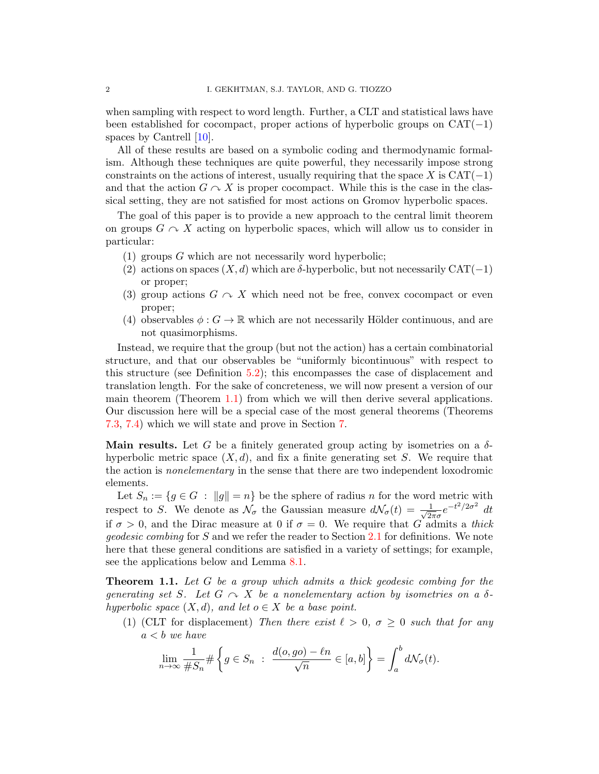when sampling with respect to word length. Further, a CLT and statistical laws have been established for cocompact, proper actions of hyperbolic groups on  $CAT(-1)$ spaces by Cantrell [\[10\]](#page-34-5).

All of these results are based on a symbolic coding and thermodynamic formalism. Although these techniques are quite powerful, they necessarily impose strong constraints on the actions of interest, usually requiring that the space X is  $CAT(-1)$ and that the action  $G \cap X$  is proper cocompact. While this is the case in the classical setting, they are not satisfied for most actions on Gromov hyperbolic spaces.

The goal of this paper is to provide a new approach to the central limit theorem on groups  $G \cap X$  acting on hyperbolic spaces, which will allow us to consider in particular:

- (1) groups  $G$  which are not necessarily word hyperbolic;
- (2) actions on spaces  $(X, d)$  which are  $\delta$ -hyperbolic, but not necessarily CAT(−1) or proper;
- (3) group actions  $G \curvearrowright X$  which need not be free, convex cocompact or even proper;
- (4) observables  $\phi: G \to \mathbb{R}$  which are not necessarily Hölder continuous, and are not quasimorphisms.

Instead, we require that the group (but not the action) has a certain combinatorial structure, and that our observables be "uniformly bicontinuous" with respect to this structure (see Definition [5.2\)](#page-19-0); this encompasses the case of displacement and translation length. For the sake of concreteness, we will now present a version of our main theorem (Theorem  $1.1$ ) from which we will then derive several applications. Our discussion here will be a special case of the most general theorems (Theorems [7.3,](#page-28-0) [7.4\)](#page-29-0) which we will state and prove in Section [7.](#page-27-0)

Main results. Let G be a finitely generated group acting by isometries on a  $\delta$ hyperbolic metric space  $(X, d)$ , and fix a finite generating set S. We require that the action is *nonelementary* in the sense that there are two independent loxodromic elements.

Let  $S_n := \{ g \in G : ||g|| = n \}$  be the sphere of radius n for the word metric with respect to S. We denote as  $\mathcal{N}_{\sigma}$  the Gaussian measure  $d\mathcal{N}_{\sigma}(t) = \frac{1}{\sqrt{2}}$  $\frac{1}{2\pi\sigma}e^{-t^2/2\sigma^2} dt$ if  $\sigma > 0$ , and the Dirac measure at 0 if  $\sigma = 0$ . We require that G admits a thick geodesic combing for S and we refer the reader to Section [2.1](#page-5-0) for definitions. We note here that these general conditions are satisfied in a variety of settings; for example, see the applications below and Lemma [8.1.](#page-31-0)

<span id="page-1-0"></span>**Theorem 1.1.** Let  $G$  be a group which admits a thick geodesic combing for the generating set S. Let  $G \curvearrowright X$  be a nonelementary action by isometries on a  $\delta$ hyperbolic space  $(X, d)$ , and let  $o \in X$  be a base point.

(1) (CLT for displacement) Then there exist  $\ell > 0$ ,  $\sigma \geq 0$  such that for any  $a < b$  we have

$$
\lim_{n \to \infty} \frac{1}{\#S_n} \# \left\{ g \in S_n \ : \ \frac{d(o, go) - \ell n}{\sqrt{n}} \in [a, b] \right\} = \int_a^b d\mathcal{N}_{\sigma}(t).
$$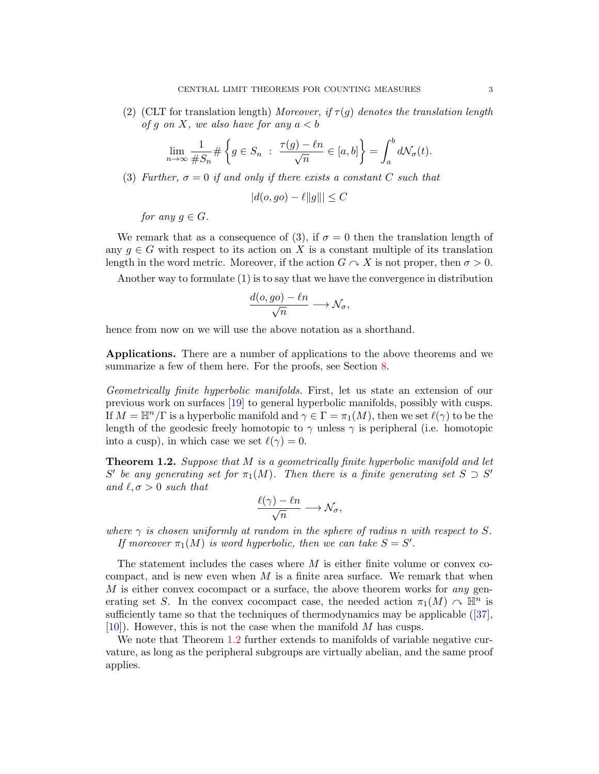(2) (CLT for translation length) Moreover, if  $\tau(q)$  denotes the translation length of g on X, we also have for any  $a < b$ 

$$
\lim_{n \to \infty} \frac{1}{\#S_n} \# \left\{ g \in S_n \ : \ \frac{\tau(g) - \ell n}{\sqrt{n}} \in [a, b] \right\} = \int_a^b d\mathcal{N}_\sigma(t).
$$

(3) Further,  $\sigma = 0$  if and only if there exists a constant C such that

$$
|d(o, go) - \ell ||g||| \le C
$$

for any  $q \in G$ .

We remark that as a consequence of (3), if  $\sigma = 0$  then the translation length of any  $q \in G$  with respect to its action on X is a constant multiple of its translation length in the word metric. Moreover, if the action  $G \cap X$  is not proper, then  $\sigma > 0$ .

Another way to formulate (1) is to say that we have the convergence in distribution

$$
\frac{d(o, go) - \ell n}{\sqrt{n}} \longrightarrow \mathcal{N}_{\sigma},
$$

hence from now on we will use the above notation as a shorthand.

Applications. There are a number of applications to the above theorems and we summarize a few of them here. For the proofs, see Section [8.](#page-31-1)

Geometrically finite hyperbolic manifolds. First, let us state an extension of our previous work on surfaces [\[19\]](#page-34-2) to general hyperbolic manifolds, possibly with cusps. If  $M = \mathbb{H}^n/\Gamma$  is a hyperbolic manifold and  $\gamma \in \Gamma = \pi_1(M)$ , then we set  $\ell(\gamma)$  to be the length of the geodesic freely homotopic to  $\gamma$  unless  $\gamma$  is peripheral (i.e. homotopic into a cusp), in which case we set  $\ell(\gamma) = 0$ .

<span id="page-2-0"></span>**Theorem 1.2.** Suppose that M is a geometrically finite hyperbolic manifold and let S' be any generating set for  $\pi_1(M)$ . Then there is a finite generating set  $S \supset S'$ and  $\ell, \sigma > 0$  such that

$$
\frac{\ell(\gamma) - \ell n}{\sqrt{n}} \longrightarrow \mathcal{N}_{\sigma},
$$

where  $\gamma$  is chosen uniformly at random in the sphere of radius n with respect to S. If moreover  $\pi_1(M)$  is word hyperbolic, then we can take  $S = S'$ .

The statement includes the cases where  $M$  is either finite volume or convex cocompact, and is new even when  $M$  is a finite area surface. We remark that when  $M$  is either convex cocompact or a surface, the above theorem works for any generating set S. In the convex cocompact case, the needed action  $\pi_1(M) \curvearrowright \mathbb{H}^n$  is sufficientlytame so that the techniques of thermodynamics may be applicable  $(37)$ ,  $[10]$ . However, this is not the case when the manifold M has cusps.

We note that Theorem [1.2](#page-2-0) further extends to manifolds of variable negative curvature, as long as the peripheral subgroups are virtually abelian, and the same proof applies.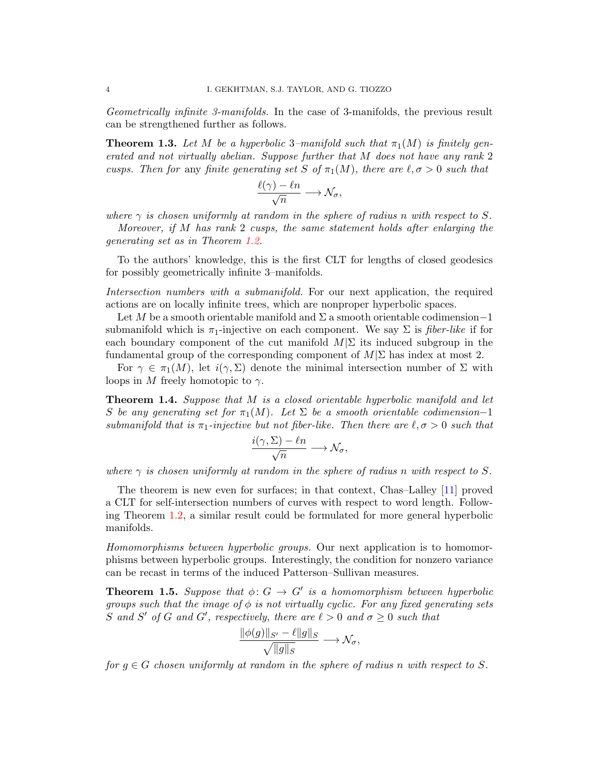Geometrically infinite 3-manifolds. In the case of 3-manifolds, the previous result can be strengthened further as follows.

<span id="page-3-0"></span>**Theorem 1.3.** Let M be a hyperbolic 3–manifold such that  $\pi_1(M)$  is finitely generated and not virtually abelian. Suppose further that M does not have any rank 2 cusps. Then for any finite generating set S of  $\pi_1(M)$ , there are  $\ell, \sigma > 0$  such that

$$
\frac{\ell(\gamma)-\ell n}{\sqrt{n}} \longrightarrow \mathcal{N}_{\sigma},
$$

where  $\gamma$  is chosen uniformly at random in the sphere of radius n with respect to S.

Moreover, if M has rank 2 cusps, the same statement holds after enlarging the generating set as in Theorem [1.2.](#page-2-0)

To the authors' knowledge, this is the first CLT for lengths of closed geodesics for possibly geometrically infinite 3–manifolds.

Intersection numbers with a submanifold. For our next application, the required actions are on locally infinite trees, which are nonproper hyperbolic spaces.

Let M be a smooth orientable manifold and  $\Sigma$  a smooth orientable codimension–1 submanifold which is  $\pi_1$ -injective on each component. We say  $\Sigma$  is *fiber-like* if for each boundary component of the cut manifold  $M|\Sigma$  its induced subgroup in the fundamental group of the corresponding component of  $M|\Sigma$  has index at most 2.

For  $\gamma \in \pi_1(M)$ , let  $i(\gamma, \Sigma)$  denote the minimal intersection number of  $\Sigma$  with loops in M freely homotopic to  $\gamma$ .

<span id="page-3-1"></span>**Theorem 1.4.** Suppose that M is a closed orientable hyperbolic manifold and let S be any generating set for  $\pi_1(M)$ . Let  $\Sigma$  be a smooth orientable codimension-1 submanifold that is  $\pi_1$ -injective but not fiber-like. Then there are  $\ell, \sigma > 0$  such that

$$
\frac{i(\gamma, \Sigma) - \ell n}{\sqrt{n}} \longrightarrow \mathcal{N}_{\sigma},
$$

where  $\gamma$  is chosen uniformly at random in the sphere of radius n with respect to S.

The theorem is new even for surfaces; in that context, Chas–Lalley [\[11\]](#page-34-6) proved a CLT for self-intersection numbers of curves with respect to word length. Following Theorem [1.2,](#page-2-0) a similar result could be formulated for more general hyperbolic manifolds.

Homomorphisms between hyperbolic groups. Our next application is to homomorphisms between hyperbolic groups. Interestingly, the condition for nonzero variance can be recast in terms of the induced Patterson–Sullivan measures.

<span id="page-3-2"></span>**Theorem 1.5.** Suppose that  $\phi: G \to G'$  is a homomorphism between hyperbolic groups such that the image of  $\phi$  is not virtually cyclic. For any fixed generating sets S and S' of G and G', respectively, there are  $\ell > 0$  and  $\sigma \geq 0$  such that

$$
\frac{\|\phi(g)\|_{S'} - \ell \|g\|_S}{\sqrt{\|g\|_S}} \longrightarrow \mathcal{N}_{\sigma},
$$

key and state

for  $g \in G$  chosen uniformly at random in the sphere of radius n with respect to S.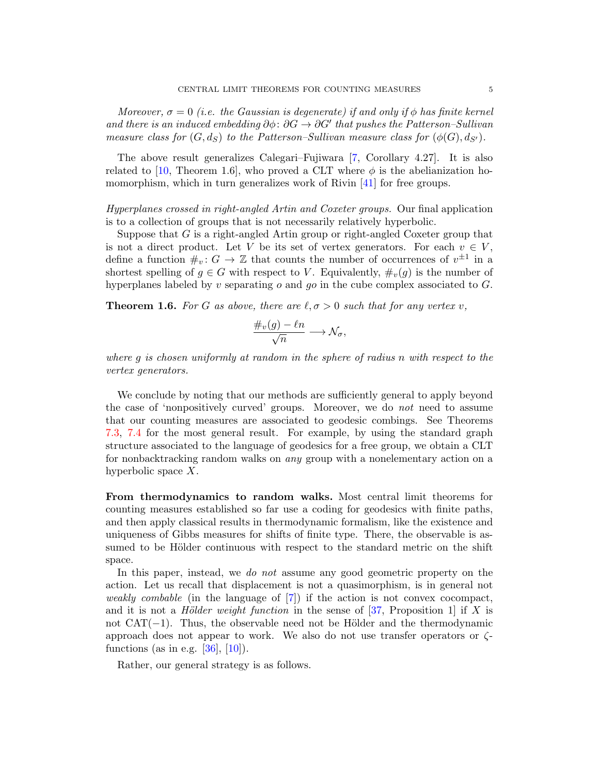Moreover,  $\sigma = 0$  (i.e. the Gaussian is degenerate) if and only if  $\phi$  has finite kernel and there is an induced embedding  $\partial \phi$ :  $\partial G \rightarrow \partial G'$  that pushes the Patterson–Sullivan measure class for  $(G, d_S)$  to the Patterson–Sullivan measure class for  $(\phi(G), d_{S'})$ .

The above result generalizes Calegari–Fujiwara [\[7,](#page-34-1) Corollary 4.27]. It is also related to [\[10,](#page-34-5) Theorem 1.6], who proved a CLT where  $\phi$  is the abelianization ho-momorphism, which in turn generalizes work of Rivin [\[41\]](#page-35-8) for free groups.

Hyperplanes crossed in right-angled Artin and Coxeter groups. Our final application is to a collection of groups that is not necessarily relatively hyperbolic.

Suppose that  $G$  is a right-angled Artin group or right-angled Coxeter group that is not a direct product. Let V be its set of vertex generators. For each  $v \in V$ , define a function  $\#_v: G \to \mathbb{Z}$  that counts the number of occurrences of  $v^{\pm 1}$  in a shortest spelling of  $g \in G$  with respect to V. Equivalently,  $\#_v(g)$  is the number of hyperplanes labeled by  $v$  separating  $o$  and  $go$  in the cube complex associated to  $G$ .

<span id="page-4-0"></span>**Theorem 1.6.** For G as above, there are  $\ell, \sigma > 0$  such that for any vertex v,

$$
\frac{\#_v(g)-\ell n}{\sqrt{n}} \longrightarrow \mathcal{N}_{\sigma},
$$

where g is chosen uniformly at random in the sphere of radius n with respect to the vertex generators.

We conclude by noting that our methods are sufficiently general to apply beyond the case of 'nonpositively curved' groups. Moreover, we do not need to assume that our counting measures are associated to geodesic combings. See Theorems [7.3,](#page-28-0) [7.4](#page-29-0) for the most general result. For example, by using the standard graph structure associated to the language of geodesics for a free group, we obtain a CLT for nonbacktracking random walks on any group with a nonelementary action on a hyperbolic space X.

From thermodynamics to random walks. Most central limit theorems for counting measures established so far use a coding for geodesics with finite paths, and then apply classical results in thermodynamic formalism, like the existence and uniqueness of Gibbs measures for shifts of finite type. There, the observable is assumed to be Hölder continuous with respect to the standard metric on the shift space.

In this paper, instead, we *do not* assume any good geometric property on the action. Let us recall that displacement is not a quasimorphism, is in general not weakly combable (in the language of [\[7\]](#page-34-1)) if the action is not convex cocompact, and it is not a *Hölder weight function* in the sense of  $[37,$  Proposition 1 if X is not  $CAT(-1)$ . Thus, the observable need not be Hölder and the thermodynamic approach does not appear to work. We also do not use transfer operators or  $\zeta$ functions (as in e.g.  $[36]$ ,  $[10]$ ).

Rather, our general strategy is as follows.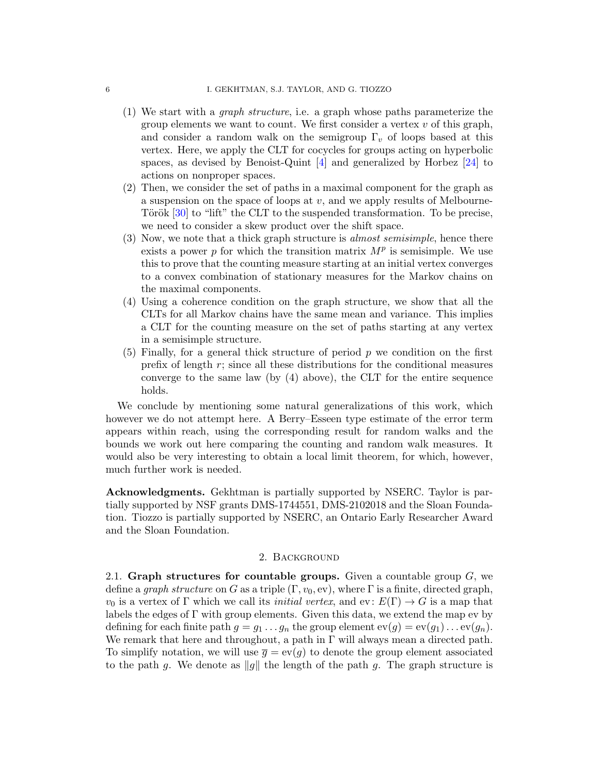- (1) We start with a graph structure, i.e. a graph whose paths parameterize the group elements we want to count. We first consider a vertex  $v$  of this graph, and consider a random walk on the semigroup  $\Gamma_v$  of loops based at this vertex. Here, we apply the CLT for cocycles for groups acting on hyperbolic spaces, as devised by Benoist-Quint  $[4]$  and generalized by Horbez  $[24]$  to actions on nonproper spaces.
- (2) Then, we consider the set of paths in a maximal component for the graph as a suspension on the space of loops at  $v$ , and we apply results of Melbourne-Török  $[30]$  to "lift" the CLT to the suspended transformation. To be precise, we need to consider a skew product over the shift space.
- (3) Now, we note that a thick graph structure is almost semisimple, hence there exists a power  $p$  for which the transition matrix  $M^p$  is semisimple. We use this to prove that the counting measure starting at an initial vertex converges to a convex combination of stationary measures for the Markov chains on the maximal components.
- (4) Using a coherence condition on the graph structure, we show that all the CLTs for all Markov chains have the same mean and variance. This implies a CLT for the counting measure on the set of paths starting at any vertex in a semisimple structure.
- (5) Finally, for a general thick structure of period  $p$  we condition on the first prefix of length  $r$ ; since all these distributions for the conditional measures converge to the same law (by (4) above), the CLT for the entire sequence holds.

We conclude by mentioning some natural generalizations of this work, which however we do not attempt here. A Berry–Esseen type estimate of the error term appears within reach, using the corresponding result for random walks and the bounds we work out here comparing the counting and random walk measures. It would also be very interesting to obtain a local limit theorem, for which, however, much further work is needed.

Acknowledgments. Gekhtman is partially supported by NSERC. Taylor is partially supported by NSF grants DMS-1744551, DMS-2102018 and the Sloan Foundation. Tiozzo is partially supported by NSERC, an Ontario Early Researcher Award and the Sloan Foundation.

## 2. Background

<span id="page-5-0"></span>2.1. Graph structures for countable groups. Given a countable group  $G$ , we define a graph structure on G as a triple  $(\Gamma, v_0, \text{ev})$ , where  $\Gamma$  is a finite, directed graph,  $v_0$  is a vertex of Γ which we call its *initial vertex*, and ev:  $E(\Gamma) \rightarrow G$  is a map that labels the edges of  $\Gamma$  with group elements. Given this data, we extend the map ev by defining for each finite path  $g = g_1 \ldots g_n$  the group element  $ev(g) = ev(g_1) \ldots ev(g_n)$ . We remark that here and throughout, a path in  $\Gamma$  will always mean a directed path. To simplify notation, we will use  $\bar{q} = \text{ev}(q)$  to denote the group element associated to the path g. We denote as  $||g||$  the length of the path g. The graph structure is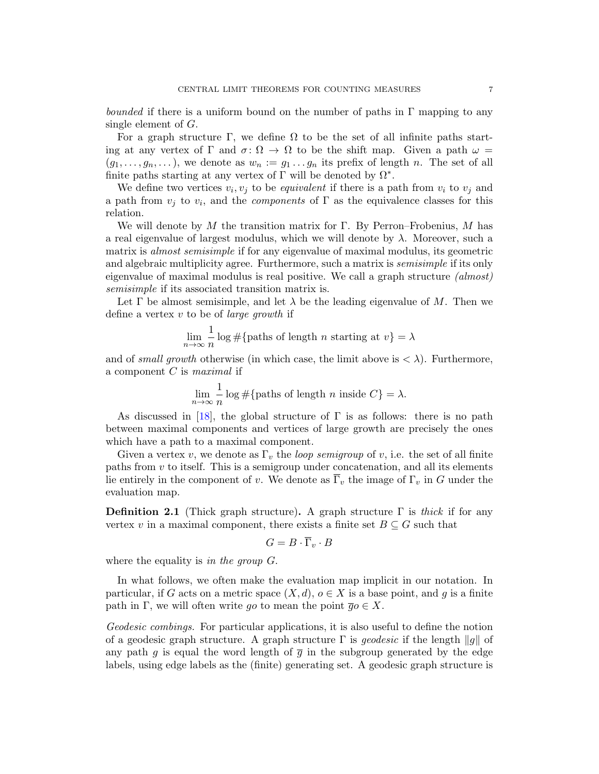bounded if there is a uniform bound on the number of paths in  $\Gamma$  mapping to any single element of G.

For a graph structure Γ, we define  $\Omega$  to be the set of all infinite paths starting at any vertex of  $\Gamma$  and  $\sigma \colon \Omega \to \Omega$  to be the shift map. Given a path  $\omega =$  $(g_1, \ldots, g_n, \ldots)$ , we denote as  $w_n := g_1 \ldots g_n$  its prefix of length n. The set of all finite paths starting at any vertex of  $\Gamma$  will be denoted by  $\Omega^*$ .

We define two vertices  $v_i, v_j$  to be *equivalent* if there is a path from  $v_i$  to  $v_j$  and a path from  $v_j$  to  $v_i$ , and the *components* of  $\Gamma$  as the equivalence classes for this relation.

We will denote by M the transition matrix for Γ. By Perron–Frobenius, M has a real eigenvalue of largest modulus, which we will denote by  $\lambda$ . Moreover, such a matrix is *almost semisimple* if for any eigenvalue of maximal modulus, its geometric and algebraic multiplicity agree. Furthermore, such a matrix is *semisimple* if its only eigenvalue of maximal modulus is real positive. We call a graph structure (almost) semisimple if its associated transition matrix is.

Let  $\Gamma$  be almost semisimple, and let  $\lambda$  be the leading eigenvalue of M. Then we define a vertex  $v$  to be of *large growth* if

$$
\lim_{n \to \infty} \frac{1}{n} \log \# \{ \text{paths of length } n \text{ starting at } v \} = \lambda
$$

and of small growth otherwise (in which case, the limit above is  $\langle \lambda \rangle$ ). Furthermore, a component  $C$  is maximal if

$$
\lim_{n \to \infty} \frac{1}{n} \log \# \{ \text{paths of length } n \text{ inside } C \} = \lambda.
$$

As discussed in [\[18\]](#page-34-8), the global structure of  $\Gamma$  is as follows: there is no path between maximal components and vertices of large growth are precisely the ones which have a path to a maximal component.

Given a vertex v, we denote as  $\Gamma_v$  the *loop semigroup* of v, i.e. the set of all finite paths from  $v$  to itself. This is a semigroup under concatenation, and all its elements lie entirely in the component of v. We denote as  $\overline{\Gamma}_v$  the image of  $\Gamma_v$  in G under the evaluation map.

<span id="page-6-0"></span>**Definition 2.1** (Thick graph structure). A graph structure  $\Gamma$  is thick if for any vertex v in a maximal component, there exists a finite set  $B \subseteq G$  such that

$$
G = B \cdot \overline{\Gamma}_v \cdot B
$$

where the equality is in the group G.

In what follows, we often make the evaluation map implicit in our notation. In particular, if G acts on a metric space  $(X, d)$ ,  $o \in X$  is a base point, and g is a finite path in Γ, we will often write go to mean the point  $\overline{g}o \in X$ .

Geodesic combings. For particular applications, it is also useful to define the notion of a geodesic graph structure. A graph structure  $\Gamma$  is *geodesic* if the length  $||g||$  of any path g is equal the word length of  $\bar{q}$  in the subgroup generated by the edge labels, using edge labels as the (finite) generating set. A geodesic graph structure is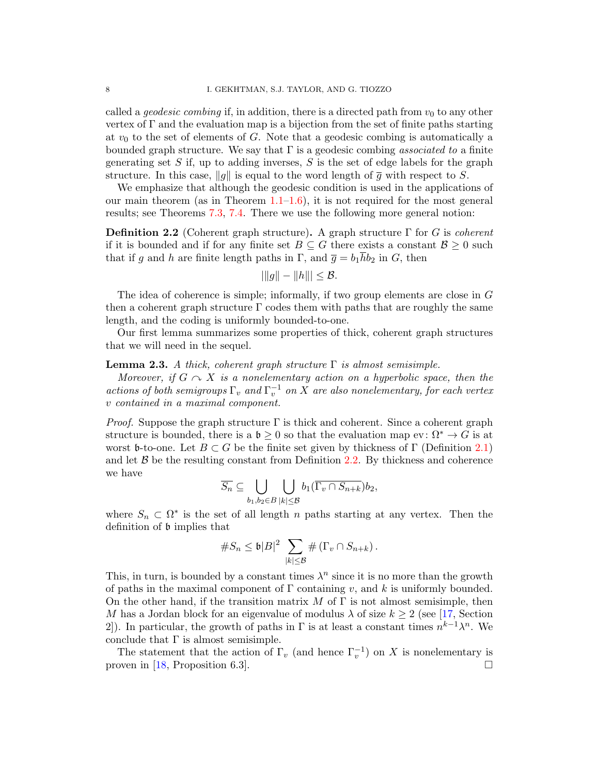called a *geodesic combing* if, in addition, there is a directed path from  $v_0$  to any other vertex of  $\Gamma$  and the evaluation map is a bijection from the set of finite paths starting at  $v_0$  to the set of elements of G. Note that a geodesic combing is automatically a bounded graph structure. We say that  $\Gamma$  is a geodesic combing *associated to* a finite generating set  $S$  if, up to adding inverses,  $S$  is the set of edge labels for the graph structure. In this case,  $||g||$  is equal to the word length of  $\overline{g}$  with respect to S.

We emphasize that although the geodesic condition is used in the applications of our main theorem (as in Theorem  $1.1{\text -}1.6$  $1.1{\text -}1.6$ ), it is not required for the most general results; see Theorems [7.3,](#page-28-0) [7.4.](#page-29-0) There we use the following more general notion:

<span id="page-7-0"></span>**Definition 2.2** (Coherent graph structure). A graph structure  $\Gamma$  for G is *coherent* if it is bounded and if for any finite set  $B\subseteq G$  there exists a constant  $\mathcal{B}\geq 0$  such that if g and h are finite length paths in  $\Gamma$ , and  $\overline{g} = b_1 \overline{h} b_2$  in G, then

$$
|||g|| - ||h||| \leq \mathcal{B}.
$$

The idea of coherence is simple; informally, if two group elements are close in G then a coherent graph structure  $\Gamma$  codes them with paths that are roughly the same length, and the coding is uniformly bounded-to-one.

Our first lemma summarizes some properties of thick, coherent graph structures that we will need in the sequel.

#### <span id="page-7-1"></span>**Lemma 2.3.** A thick, coherent graph structure  $\Gamma$  is almost semisimple.

Moreover, if  $G \curvearrowright X$  is a nonelementary action on a hyperbolic space, then the actions of both semigroups  $\Gamma_v$  and  $\Gamma_v^{-1}$  on X are also nonelementary, for each vertex v contained in a maximal component.

*Proof.* Suppose the graph structure  $\Gamma$  is thick and coherent. Since a coherent graph structure is bounded, there is a  $\mathfrak{b} \geq 0$  so that the evaluation map ev:  $\Omega^* \to G$  is at worst b-to-one. Let  $B \subset G$  be the finite set given by thickness of  $\Gamma$  (Definition [2.1\)](#page-6-0) and let  $\beta$  be the resulting constant from Definition [2.2.](#page-7-0) By thickness and coherence we have

$$
\overline{S_n} \subseteq \bigcup_{b_1,b_2 \in B} \bigcup_{|k| \leq \mathcal{B}} b_1(\overline{\Gamma_{v} \cap S_{n+k}}) b_2,
$$

where  $S_n \subset \Omega^*$  is the set of all length n paths starting at any vertex. Then the definition of b implies that

$$
\#S_n \leq \mathfrak{b}|B|^2 \sum_{|k| \leq \mathcal{B}} \#(\Gamma_v \cap S_{n+k}).
$$

This, in turn, is bounded by a constant times  $\lambda^n$  since it is no more than the growth of paths in the maximal component of  $\Gamma$  containing v, and k is uniformly bounded. On the other hand, if the transition matrix M of  $\Gamma$  is not almost semisimple, then M has a Jordan block for an eigenvalue of modulus  $\lambda$  of size  $k \geq 2$  (see [\[17,](#page-34-3) Section 2. In particular, the growth of paths in  $\Gamma$  is at least a constant times  $n^{k-1}\lambda^n$ . We conclude that  $\Gamma$  is almost semisimple.

The statement that the action of  $\Gamma_v$  (and hence  $\Gamma_v^{-1}$ ) on X is nonelementary is proven in [\[18,](#page-34-8) Proposition 6.3].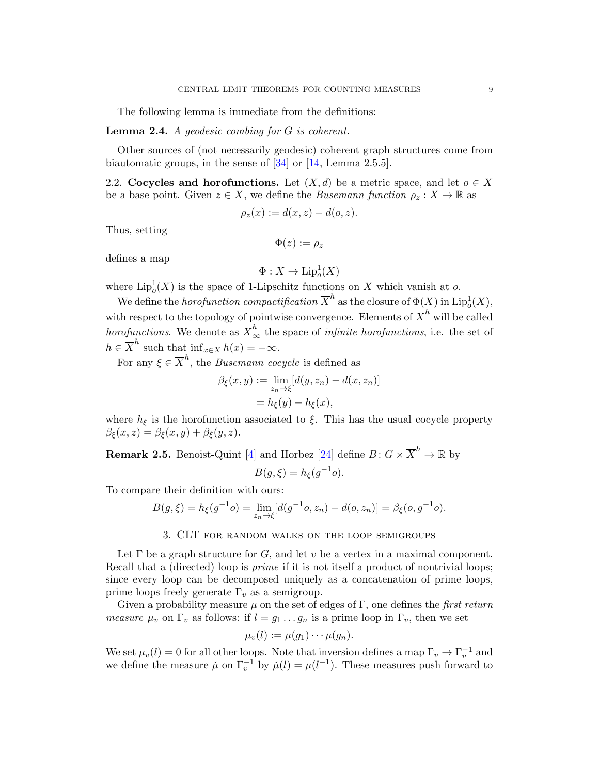The following lemma is immediate from the definitions:

#### <span id="page-8-1"></span>**Lemma 2.4.** A geodesic combing for  $G$  is coherent.

Other sources of (not necessarily geodesic) coherent graph structures come from biautomatic groups, in the sense of [\[34\]](#page-35-11) or [\[14,](#page-34-9) Lemma 2.5.5].

2.2. Cocycles and horofunctions. Let  $(X, d)$  be a metric space, and let  $o \in X$ be a base point. Given  $z \in X$ , we define the *Busemann function*  $\rho_z : X \to \mathbb{R}$  as

$$
\rho_z(x) := d(x, z) - d(o, z).
$$

Thus, setting

$$
\Phi(z):=\rho_z
$$

defines a map

$$
\Phi: X \to \mathrm{Lip}_o^1(X)
$$

where  $\mathrm{Lip}_o^1(X)$  is the space of 1-Lipschitz functions on X which vanish at o.

We define the *horofunction compactification*  $\overline{X}^h$  as the closure of  $\Phi(X)$  in  $\mathrm{Lip}_o^1(X)$ , with respect to the topology of pointwise convergence. Elements of  $\overline{X}^h$  will be called horofunctions. We denote as  $\overline{X}^h_\infty$  the space of *infinite horofunctions*, i.e. the set of  $h \in \overline{X}^h$  such that  $\inf_{x \in X} h(x) = -\infty$ .

For any  $\xi \in \overline{X}^h$ , the *Busemann cocycle* is defined as

$$
\beta_{\xi}(x, y) := \lim_{z_n \to \xi} [d(y, z_n) - d(x, z_n)]
$$

$$
= h_{\xi}(y) - h_{\xi}(x),
$$

where  $h_{\xi}$  is the horofunction associated to  $\xi$ . This has the usual cocycle property  $\beta_{\xi}(x, z) = \beta_{\xi}(x, y) + \beta_{\xi}(y, z).$ 

**Remark 2.5.** Benoist-Quint [\[4\]](#page-34-7) and Horbez [\[24\]](#page-35-9) define  $B: G \times \overline{X}^h \to \mathbb{R}$  by  $B(g,\xi) = h_{\xi}(g^{-1}o).$ 

To compare their definition with ours:

$$
B(g,\xi) = h_{\xi}(g^{-1}o) = \lim_{z_n \to \xi} [d(g^{-1}o,z_n) - d(o,z_n)] = \beta_{\xi}(o,g^{-1}o).
$$

## 3. CLT for random walks on the loop semigroups

<span id="page-8-0"></span>Let  $\Gamma$  be a graph structure for G, and let v be a vertex in a maximal component. Recall that a (directed) loop is *prime* if it is not itself a product of nontrivial loops; since every loop can be decomposed uniquely as a concatenation of prime loops, prime loops freely generate  $\Gamma_v$  as a semigroup.

Given a probability measure  $\mu$  on the set of edges of Γ, one defines the *first return measure*  $\mu_v$  on  $\Gamma_v$  as follows: if  $l = g_1 \dots g_n$  is a prime loop in  $\Gamma_v$ , then we set

$$
\mu_v(l) := \mu(g_1) \cdots \mu(g_n).
$$

We set  $\mu_v(l) = 0$  for all other loops. Note that inversion defines a map  $\Gamma_v \to \Gamma_v^{-1}$  and we define the measure  $\check{\mu}$  on  $\Gamma_v^{-1}$  by  $\check{\mu}(l) = \mu(l^{-1})$ . These measures push forward to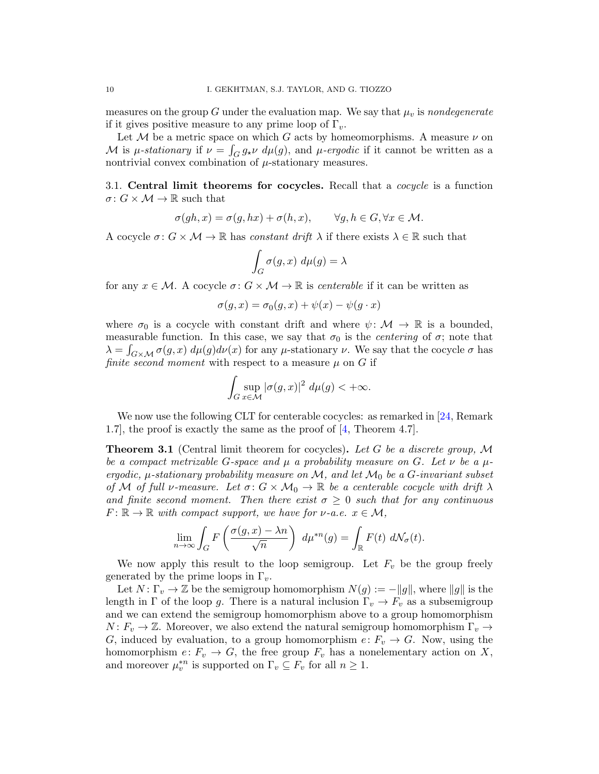measures on the group G under the evaluation map. We say that  $\mu_v$  is nondegenerate if it gives positive measure to any prime loop of  $\Gamma_v$ .

Let M be a metric space on which G acts by homeomorphisms. A measure  $\nu$  on M is *μ*-stationary if  $\nu = \int_G g_{\star} \nu \ d\mu(g)$ , and *μ*-ergodic if it cannot be written as a nontrivial convex combination of  $\mu$ -stationary measures.

3.1. Central limit theorems for cocycles. Recall that a *cocycle* is a function  $\sigma: G \times \mathcal{M} \to \mathbb{R}$  such that

$$
\sigma(gh, x) = \sigma(g, hx) + \sigma(h, x), \qquad \forall g, h \in G, \forall x \in \mathcal{M}.
$$

A cocycle  $\sigma: G \times \mathcal{M} \to \mathbb{R}$  has constant drift  $\lambda$  if there exists  $\lambda \in \mathbb{R}$  such that

$$
\int_G \sigma(g, x) \ d\mu(g) = \lambda
$$

for any  $x \in \mathcal{M}$ . A cocycle  $\sigma: G \times \mathcal{M} \to \mathbb{R}$  is centerable if it can be written as

$$
\sigma(g, x) = \sigma_0(g, x) + \psi(x) - \psi(g \cdot x)
$$

where  $\sigma_0$  is a cocycle with constant drift and where  $\psi \colon \mathcal{M} \to \mathbb{R}$  is a bounded, measurable function. In this case, we say that  $\sigma_0$  is the *centering* of  $\sigma$ ; note that  $\lambda = \int_{G \times \mathcal{M}} \sigma(g, x) d\mu(g) d\nu(x)$  for any  $\mu$ -stationary  $\nu$ . We say that the cocycle  $\sigma$  has finite second moment with respect to a measure  $\mu$  on G if

$$
\int_G \sup_{x \in \mathcal{M}} |\sigma(g, x)|^2 \ d\mu(g) < +\infty.
$$

We now use the following CLT for centerable cocycles: as remarked in [\[24,](#page-35-9) Remark] 1.7], the proof is exactly the same as the proof of [\[4,](#page-34-7) Theorem 4.7].

<span id="page-9-0"></span>**Theorem 3.1** (Central limit theorem for cocycles). Let G be a discrete group, M be a compact metrizable G-space and  $\mu$  a probability measure on G. Let  $\nu$  be a  $\mu$ ergodic,  $\mu$ -stationary probability measure on M, and let  $\mathcal{M}_0$  be a G-invariant subset of M of full v-measure. Let  $\sigma: G \times M_0 \to \mathbb{R}$  be a centerable cocycle with drift  $\lambda$ and finite second moment. Then there exist  $\sigma \geq 0$  such that for any continuous  $F: \mathbb{R} \to \mathbb{R}$  with compact support, we have for  $\nu$ -a.e.  $x \in \mathcal{M}$ ,

$$
\lim_{n \to \infty} \int_G F\left(\frac{\sigma(g, x) - \lambda n}{\sqrt{n}}\right) d\mu^{*n}(g) = \int_{\mathbb{R}} F(t) d\mathcal{N}_{\sigma}(t).
$$

We now apply this result to the loop semigroup. Let  $F_v$  be the group freely generated by the prime loops in  $\Gamma_v$ .

Let  $N: \Gamma_v \to \mathbb{Z}$  be the semigroup homomorphism  $N(g) := -||g||$ , where  $||g||$  is the length in Γ of the loop g. There is a natural inclusion  $\Gamma_v \to F_v$  as a subsemigroup and we can extend the semigroup homomorphism above to a group homomorphism  $N: F_v \to \mathbb{Z}$ . Moreover, we also extend the natural semigroup homomorphism  $\Gamma_v \to$ G, induced by evaluation, to a group homomorphism  $e: F_v \to G$ . Now, using the homomorphism  $e: F_v \to G$ , the free group  $F_v$  has a nonelementary action on X, and moreover  $\mu_v^{*n}$  is supported on  $\Gamma_v \subseteq F_v$  for all  $n \geq 1$ .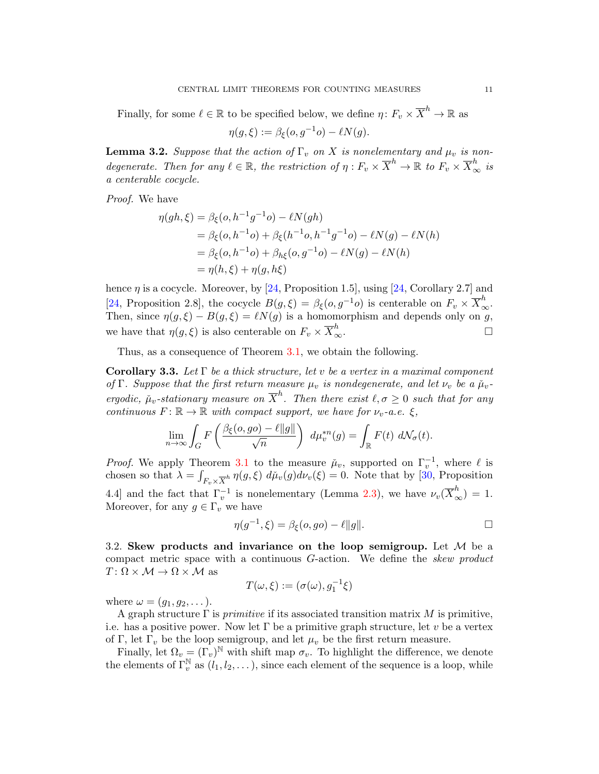Finally, for some  $\ell \in \mathbb{R}$  to be specified below, we define  $\eta \colon F_v \times \overline{X}^h \to \mathbb{R}$  as

$$
\eta(g,\xi) := \beta_{\xi}(o,g^{-1}o) - \ell N(g).
$$

**Lemma 3.2.** Suppose that the action of  $\Gamma_v$  on X is nonelementary and  $\mu_v$  is nondegenerate. Then for any  $\ell \in \mathbb{R}$ , the restriction of  $\eta : F_v \times \overline{X}^h \to \mathbb{R}$  to  $F_v \times \overline{X}^h_{\infty}$  is a centerable cocycle.

Proof. We have

$$
\eta(gh,\xi) = \beta_{\xi}(o, h^{-1}g^{-1}o) - \ell N(gh)
$$
  
=  $\beta_{\xi}(o, h^{-1}o) + \beta_{\xi}(h^{-1}o, h^{-1}g^{-1}o) - \ell N(g) - \ell N(h)$   
=  $\beta_{\xi}(o, h^{-1}o) + \beta_{h\xi}(o, g^{-1}o) - \ell N(g) - \ell N(h)$   
=  $\eta(h,\xi) + \eta(g,h\xi)$ 

hence  $\eta$  is a cocycle. Moreover, by [\[24,](#page-35-9) Proposition 1.5], using [24, Corollary 2.7] and [\[24,](#page-35-9) Proposition 2.8], the cocycle  $B(g,\xi) = \beta_{\xi}(o,g^{-1}o)$  is centerable on  $F_v \times \overline{X}_{\infty}^h$ . Then, since  $\eta(g,\xi) - B(g,\xi) = \ell N(g)$  is a homomorphism and depends only on g, we have that  $\eta(g,\xi)$  is also centerable on  $F_v \times \overline{X}^h_{\infty}$  $\infty$ .  $\Box$ 

Thus, as a consequence of Theorem [3.1,](#page-9-0) we obtain the following.

<span id="page-10-0"></span>**Corollary 3.3.** Let  $\Gamma$  be a thick structure, let v be a vertex in a maximal component of Γ. Suppose that the first return measure  $\mu_v$  is nondegenerate, and let  $\nu_v$  be a  $\mu_v$ ergodic,  $\mu_v$ -stationary measure on  $\overline{X}^h$ . Then there exist  $\ell, \sigma \geq 0$  such that for any continuous  $F: \mathbb{R} \to \mathbb{R}$  with compact support, we have for  $\nu_v$ -a.e.  $\xi$ ,

$$
\lim_{n \to \infty} \int_G F\left(\frac{\beta_{\xi}(o, go) - \ell ||g||}{\sqrt{n}}\right) d\mu_v^{*n}(g) = \int_{\mathbb{R}} F(t) d\mathcal{N}_{\sigma}(t).
$$

*Proof.* We apply Theorem [3.1](#page-9-0) to the measure  $\mu_v$ , supported on  $\Gamma_v^{-1}$ , where  $\ell$  is chosen so that  $\lambda = \int_{F_v \times \overline{X}^h} \eta(g,\xi) d\mu_v(g) d\nu_v(\xi) = 0$ . Note that by [\[30,](#page-35-10) Proposition 4.4] and the fact that  $\Gamma_v^{-1}$  is nonelementary (Lemma [2.3\)](#page-7-1), we have  $\nu_v(\overline{X}_{\infty}^h) = 1$ . Moreover, for any  $g \in \Gamma_v$  we have

$$
\eta(g^{-1}, \xi) = \beta_{\xi}(o, go) - \ell ||g||.
$$

3.2. Skew products and invariance on the loop semigroup. Let  $\mathcal M$  be a compact metric space with a continuous  $G$ -action. We define the *skew product*  $T: \Omega \times \mathcal{M} \rightarrow \Omega \times \mathcal{M}$  as

$$
T(\omega,\xi) := (\sigma(\omega), g_1^{-1}\xi)
$$

where  $\omega = (g_1, g_2, \dots).$ 

A graph structure  $\Gamma$  is *primitive* if its associated transition matrix M is primitive, i.e. has a positive power. Now let  $\Gamma$  be a primitive graph structure, let v be a vertex of Γ, let  $\Gamma_v$  be the loop semigroup, and let  $\mu_v$  be the first return measure.

Finally, let  $\Omega_v = (\Gamma_v)^{\mathbb{N}}$  with shift map  $\sigma_v$ . To highlight the difference, we denote the elements of  $\Gamma_v^{\mathbb{N}}$  as  $(l_1, l_2, \ldots)$ , since each element of the sequence is a loop, while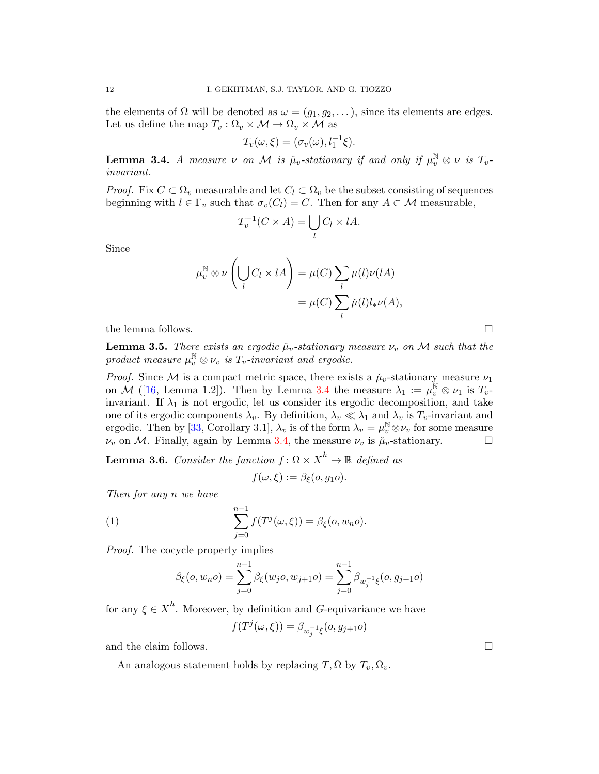the elements of  $\Omega$  will be denoted as  $\omega = (g_1, g_2, \dots)$ , since its elements are edges. Let us define the map  $T_v : \Omega_v \times \mathcal{M} \to \Omega_v \times \mathcal{M}$  as

$$
T_v(\omega,\xi)=(\sigma_v(\omega),l_1^{-1}\xi).
$$

<span id="page-11-0"></span>**Lemma 3.4.** A measure  $\nu$  on M is  $\mu_v$ -stationary if and only if  $\mu_v^{\mathbb{N}} \otimes \nu$  is  $T_v$ invariant.

*Proof.* Fix  $C \subset \Omega_v$  measurable and let  $C_l \subset \Omega_v$  be the subset consisting of sequences beginning with  $l \in \Gamma_v$  such that  $\sigma_v(C_l) = C$ . Then for any  $A \subset \mathcal{M}$  measurable,

$$
T_v^{-1}(C \times A) = \bigcup_l C_l \times lA.
$$

Since

$$
\mu_v^{\mathbb{N}} \otimes \nu \left( \bigcup_l C_l \times lA \right) = \mu(C) \sum_l \mu(l) \nu(lA) \n= \mu(C) \sum_l \check{\mu}(l) l_* \nu(A),
$$

the lemma follows.  $\Box$ 

<span id="page-11-1"></span>**Lemma 3.5.** There exists an ergodic  $\mu_v$ -stationary measure  $\nu_v$  on M such that the product measure  $\mu_v^{\mathbb{N}} \otimes \nu_v$  is  $T_v$ -invariant and ergodic.

*Proof.* Since M is a compact metric space, there exists a  $\mu_v$ -stationary measure  $\nu_1$ on M ([\[16,](#page-34-10) Lemma 1.2]). Then by Lemma [3.4](#page-11-0) the measure  $\lambda_1 := \mu_v^{\mathbb{N}} \otimes \nu_1$  is  $T_v$ . invariant. If  $\lambda_1$  is not ergodic, let us consider its ergodic decomposition, and take one of its ergodic components  $\lambda_v$ . By definition,  $\lambda_v \ll \lambda_1$  and  $\lambda_v$  is  $T_v$ -invariant and ergodic. Then by [\[33,](#page-35-12) Corollary 3.1],  $\lambda_v$  is of the form  $\lambda_v = \mu_v^{\mathbb{N}} \otimes \nu_v$  for some measure  $\nu_v$  on M. Finally, again by Lemma [3.4,](#page-11-0) the measure  $\nu_v$  is  $\mu_v$ -stationary.

<span id="page-11-2"></span>**Lemma 3.6.** Consider the function  $f: \Omega \times \overline{X}^h \to \mathbb{R}$  defined as

$$
f(\omega,\xi) := \beta_{\xi}(o,g_1o).
$$

Then for any n we have

(1) 
$$
\sum_{j=0}^{n-1} f(T^{j}(\omega,\xi)) = \beta_{\xi}(o, w_n o).
$$

Proof. The cocycle property implies

$$
\beta_{\xi}(o, w_n o) = \sum_{j=0}^{n-1} \beta_{\xi}(w_j o, w_{j+1} o) = \sum_{j=0}^{n-1} \beta_{w_j^{-1} \xi}(o, g_{j+1} o)
$$

for any  $\xi \in \overline{X}^h$ . Moreover, by definition and G-equivariance we have

$$
f(T^j(\omega,\xi)) = \beta_{w_j^{-1}\xi}(o,g_{j+1}o)
$$

and the claim follows.  $\Box$ 

An analogous statement holds by replacing  $T$ ,  $\Omega$  by  $T_v$ ,  $\Omega_v$ .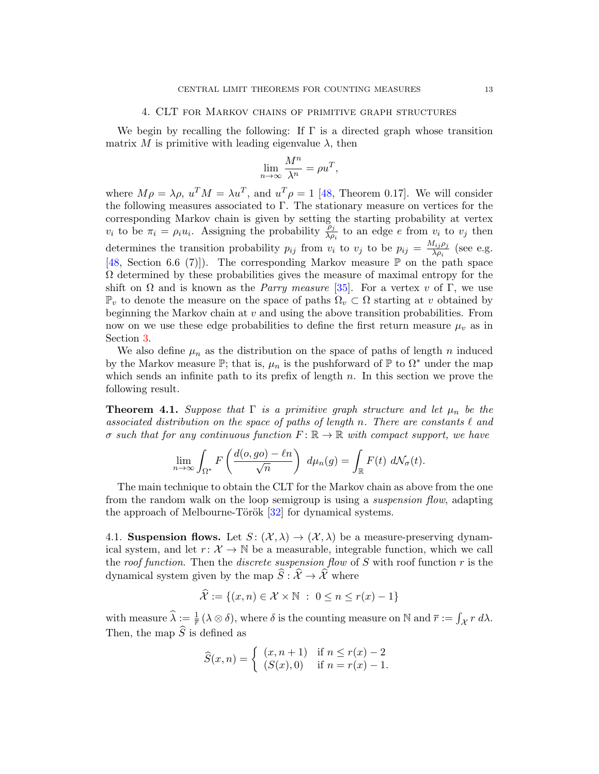## 4. CLT for Markov chains of primitive graph structures

<span id="page-12-0"></span>We begin by recalling the following: If  $\Gamma$  is a directed graph whose transition matrix M is primitive with leading eigenvalue  $\lambda$ , then

$$
\lim_{n \to \infty} \frac{M^n}{\lambda^n} = \rho u^T,
$$

where  $M\rho = \lambda \rho$ ,  $u^T M = \lambda u^T$ , and  $u^T \rho = 1$  [\[48,](#page-36-0) Theorem 0.17]. We will consider the following measures associated to Γ. The stationary measure on vertices for the corresponding Markov chain is given by setting the starting probability at vertex  $v_i$  to be  $\pi_i = \rho_i u_i$ . Assigning the probability  $\frac{\rho_j}{\lambda \rho_i}$  to an edge e from  $v_i$  to  $v_j$  then determines the transition probability  $p_{ij}$  from  $v_i$  to  $v_j$  to be  $p_{ij} = \frac{M_{ij} \rho_j}{\lambda_{0i}}$  $\frac{\mu_{ij}p_j}{\lambda \rho_i}$  (see e.g. [\[48,](#page-36-0) Section 6.6 (7)]). The corresponding Markov measure  $\mathbb P$  on the path space  $\Omega$  determined by these probabilities gives the measure of maximal entropy for the shift on  $\Omega$  and is known as the *Parry measure* [\[35\]](#page-35-13). For a vertex v of  $\Gamma$ , we use  $\mathbb{P}_v$  to denote the measure on the space of paths  $\Omega_v \subset \Omega$  starting at v obtained by beginning the Markov chain at  $v$  and using the above transition probabilities. From now on we use these edge probabilities to define the first return measure  $\mu_v$  as in Section [3.](#page-8-0)

We also define  $\mu_n$  as the distribution on the space of paths of length n induced by the Markov measure  $\mathbb{P}$ ; that is,  $\mu_n$  is the pushforward of  $\mathbb{P}$  to  $\Omega^*$  under the map which sends an infinite path to its prefix of length  $n$ . In this section we prove the following result.

<span id="page-12-1"></span>**Theorem 4.1.** Suppose that  $\Gamma$  is a primitive graph structure and let  $\mu_n$  be the associated distribution on the space of paths of length n. There are constants  $\ell$  and σ such that for any continuous function  $F: \mathbb{R} \to \mathbb{R}$  with compact support, we have

$$
\lim_{n \to \infty} \int_{\Omega^*} F\left(\frac{d(o, go) - \ell n}{\sqrt{n}}\right) d\mu_n(g) = \int_{\mathbb{R}} F(t) d\mathcal{N}_{\sigma}(t).
$$

The main technique to obtain the CLT for the Markov chain as above from the one from the random walk on the loop semigroup is using a *suspension flow*, adapting the approach of Melbourne-Török  $[32]$  for dynamical systems.

4.1. Suspension flows. Let  $S: (\mathcal{X}, \lambda) \to (\mathcal{X}, \lambda)$  be a measure-preserving dynamical system, and let  $r: \mathcal{X} \to \mathbb{N}$  be a measurable, integrable function, which we call the roof function. Then the discrete suspension flow of  $S$  with roof function  $r$  is the dynamical system given by the map  $\widehat{S}: \widehat{\mathcal{X}} \to \widehat{\mathcal{X}}$  where

$$
\widehat{\mathcal{X}} := \{(x, n) \in \mathcal{X} \times \mathbb{N} \ : \ 0 \le n \le r(x) - 1\}
$$

with measure  $\widehat{\lambda} := \frac{1}{\overline{r}} (\lambda \otimes \delta)$ , where  $\delta$  is the counting measure on N and  $\overline{r} := \int_{\mathcal{X}} r \, d\lambda$ . Then, the map  $\widehat{S}$  is defined as

$$
\widehat{S}(x,n) = \begin{cases} (x, n+1) & \text{if } n \le r(x) - 2 \\ (S(x), 0) & \text{if } n = r(x) - 1. \end{cases}
$$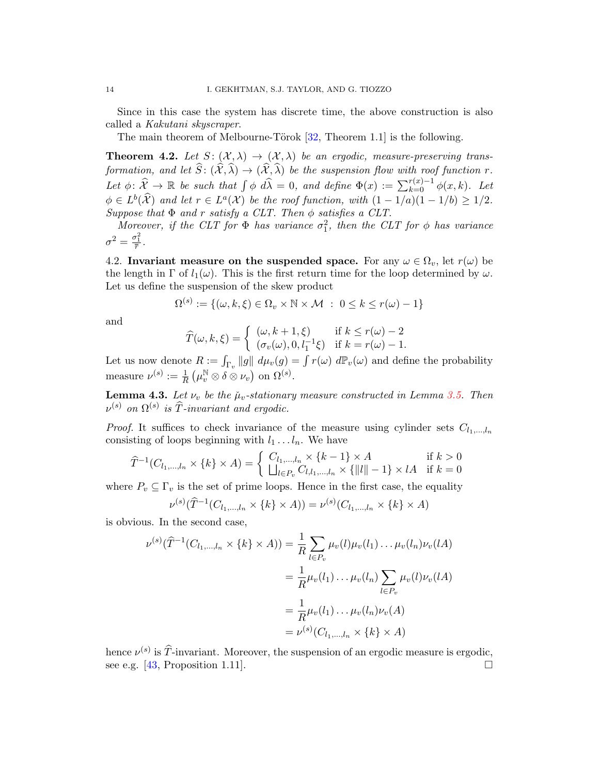Since in this case the system has discrete time, the above construction is also called a Kakutani skyscraper.

The main theorem of Melbourne-Törok  $[32,$  Theorem 1.1 is the following.

<span id="page-13-0"></span>**Theorem 4.2.** Let  $S: (\mathcal{X}, \lambda) \to (\mathcal{X}, \lambda)$  be an ergodic, measure-preserving transformation, and let  $\widehat{S}: (\widehat{\mathcal{X}}, \widehat{\lambda}) \to (\widehat{\mathcal{X}}, \widehat{\lambda})$  be the suspension flow with roof function r. Let  $\phi: \widehat{\mathcal{X}} \to \mathbb{R}$  be such that  $\int \phi \ d\widehat{\lambda} = 0$ , and define  $\Phi(x) := \sum_{k=0}^{r(x)-1} \phi(x, k)$ . Let  $\phi \in L^b(\widehat{\mathcal{X}})$  and let  $r \in L^a(\mathcal{X})$  be the roof function, with  $(1 - 1/a)(1 - 1/b) \ge 1/2$ . Suppose that  $\Phi$  and r satisfy a CLT. Then  $\phi$  satisfies a CLT.

Moreover, if the CLT for  $\Phi$  has variance  $\sigma_1^2$ , then the CLT for  $\phi$  has variance  $\sigma^2 = \frac{\sigma_1^2}{\overline{r}}$ .

4.2. Invariant measure on the suspended space. For any  $\omega \in \Omega_v$ , let  $r(\omega)$  be the length in  $\Gamma$  of  $l_1(\omega)$ . This is the first return time for the loop determined by  $\omega$ . Let us define the suspension of the skew product

$$
\Omega^{(s)} := \{(\omega, k, \xi) \in \Omega_v \times \mathbb{N} \times \mathcal{M} \; : \; 0 \le k \le r(\omega) - 1\}
$$

and

$$
\widehat{T}(\omega, k, \xi) = \begin{cases}\n(\omega, k + 1, \xi) & \text{if } k \le r(\omega) - 2 \\
(\sigma_v(\omega), 0, l_1^{-1}\xi) & \text{if } k = r(\omega) - 1.\n\end{cases}
$$

Let us now denote  $R := \int_{\Gamma_v} \|g\| \ d\mu_v(g) = \int r(\omega) \ d\mathbb{P}_v(\omega)$  and define the probability measure  $\nu^{(s)} := \frac{1}{R} \left( \mu_v^{\mathbb{N}} \otimes \delta \otimes \nu_v \right)$  on  $\Omega^{(s)}$ .

**Lemma 4.3.** Let  $\nu_v$  be the  $\mu_v$ -stationary measure constructed in Lemma [3.5.](#page-11-1) Then  $\nu^{(s)}$  on  $\Omega^{(s)}$  is  $\widehat{T}$ -invariant and ergodic.

*Proof.* It suffices to check invariance of the measure using cylinder sets  $C_{l_1,...,l_n}$ consisting of loops beginning with  $l_1 \ldots l_n$ . We have

$$
\widehat{T}^{-1}(C_{l_1,\dots,l_n} \times \{k\} \times A) = \begin{cases} C_{l_1,\dots,l_n} \times \{k-1\} \times A & \text{if } k > 0\\ \bigsqcup_{l \in P_v} C_{l,l_1,\dots,l_n} \times \{|l| - 1\} \times lA & \text{if } k = 0 \end{cases}
$$

where  $P_v \subseteq \Gamma_v$  is the set of prime loops. Hence in the first case, the equality

$$
\nu^{(s)}(\widehat{T}^{-1}(C_{l_1,\dots,l_n} \times \{k\} \times A)) = \nu^{(s)}(C_{l_1,\dots,l_n} \times \{k\} \times A)
$$

is obvious. In the second case,

$$
\nu^{(s)}(\widehat{T}^{-1}(C_{l_1,\dots,l_n} \times \{k\} \times A)) = \frac{1}{R} \sum_{l \in P_v} \mu_v(l) \mu_v(l_1) \dots \mu_v(l_n) \nu_v(lA)
$$
  

$$
= \frac{1}{R} \mu_v(l_1) \dots \mu_v(l_n) \sum_{l \in P_v} \mu_v(l) \nu_v(lA)
$$
  

$$
= \frac{1}{R} \mu_v(l_1) \dots \mu_v(l_n) \nu_v(A)
$$
  

$$
= \nu^{(s)}(C_{l_1,\dots,l_n} \times \{k\} \times A)
$$

hence  $\nu^{(s)}$  is  $\hat{T}$ -invariant. Moreover, the suspension of an ergodic measure is ergodic, see e.g. [\[43,](#page-35-15) Proposition 1.11].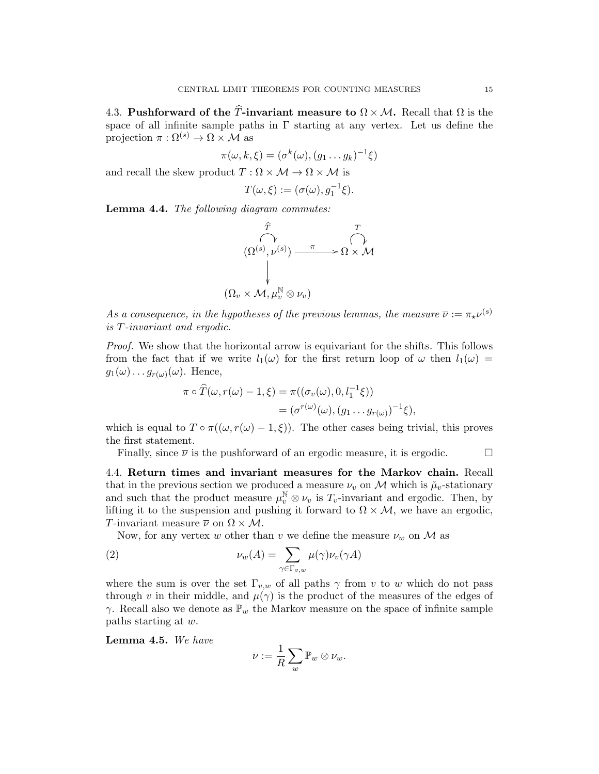4.3. Pushforward of the T-invariant measure to  $\Omega \times \mathcal{M}$ . Recall that  $\Omega$  is the space of all infinite sample paths in  $\Gamma$  starting at any vertex. Let us define the projection  $\pi : \Omega^{(s)} \to \Omega \times \mathcal{M}$  as

$$
\pi(\omega, k, \xi) = (\sigma^k(\omega), (g_1 \dots g_k)^{-1}\xi)
$$

and recall the skew product  $T : \Omega \times \mathcal{M} \to \Omega \times \mathcal{M}$  is

$$
T(\omega,\xi):=(\sigma(\omega),g_1^{-1}\xi).
$$

<span id="page-14-0"></span>Lemma 4.4. The following diagram commutes:

$$
(\Omega^{(s)}, \nu^{(s)}) \longrightarrow \Omega \times \mathcal{M}
$$
  

$$
(\Omega_v \times \mathcal{M}, \mu_v^{\mathbb{N}} \otimes \nu_v)
$$

As a consequence, in the hypotheses of the previous lemmas, the measure  $\overline{\nu} := \pi_{\star} \nu^{(s)}$ is T-invariant and ergodic.

Proof. We show that the horizontal arrow is equivariant for the shifts. This follows from the fact that if we write  $l_1(\omega)$  for the first return loop of  $\omega$  then  $l_1(\omega)$  =  $g_1(\omega) \dots g_{r(\omega)}(\omega)$ . Hence,

$$
\pi \circ \widehat{T}(\omega, r(\omega) - 1, \xi) = \pi((\sigma_v(\omega), 0, l_1^{-1}\xi))
$$
  
= 
$$
(\sigma^{r(\omega)}(\omega), (g_1 \dots g_{r(\omega)})^{-1}\xi),
$$

which is equal to  $T \circ \pi((\omega, r(\omega) - 1, \xi))$ . The other cases being trivial, this proves the first statement.

Finally, since  $\overline{\nu}$  is the pushforward of an ergodic measure, it is ergodic.

4.4. Return times and invariant measures for the Markov chain. Recall that in the previous section we produced a measure  $\nu_v$  on M which is  $\mu_v$ -stationary and such that the product measure  $\mu_v^{\mathbb{N}} \otimes \nu_v$  is  $T_v$ -invariant and ergodic. Then, by lifting it to the suspension and pushing it forward to  $\Omega \times M$ , we have an ergodic, T-invariant measure  $\overline{\nu}$  on  $\Omega \times M$ .

Now, for any vertex w other than v we define the measure  $\nu_w$  on M as

(2) 
$$
\nu_w(A) = \sum_{\gamma \in \Gamma_{v,w}} \mu(\gamma) \nu_v(\gamma A)
$$

where the sum is over the set  $\Gamma_{v,w}$  of all paths  $\gamma$  from v to w which do not pass through v in their middle, and  $\mu(\gamma)$  is the product of the measures of the edges of  $\gamma$ . Recall also we denote as  $\mathbb{P}_w$  the Markov measure on the space of infinite sample paths starting at w.

Lemma 4.5. We have

$$
\overline{\nu}:=\frac{1}{R}\sum_w\mathbb{P}_w\otimes\nu_w.
$$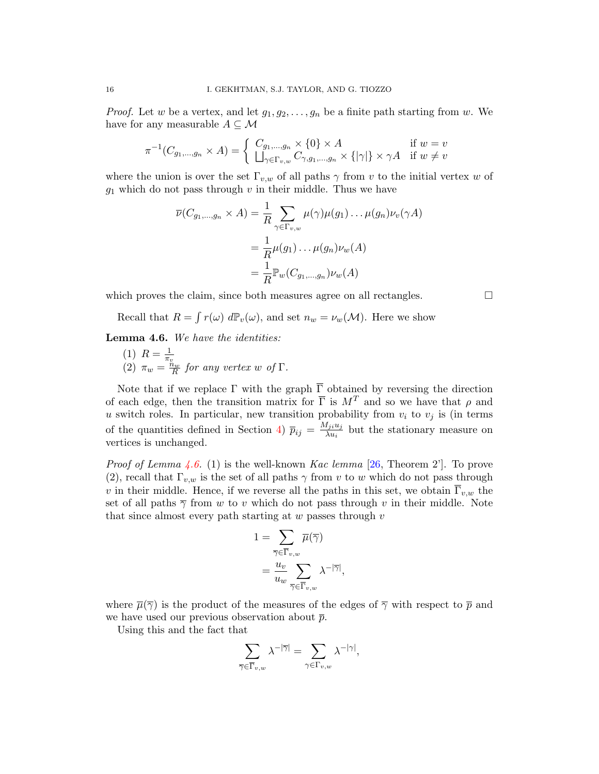*Proof.* Let w be a vertex, and let  $g_1, g_2, \ldots, g_n$  be a finite path starting from w. We have for any measurable  $A \subseteq \mathcal{M}$ 

$$
\pi^{-1}(C_{g_1,\dots,g_n} \times A) = \begin{cases} C_{g_1,\dots,g_n} \times \{0\} \times A & \text{if } w = v \\ \Box_{\gamma \in \Gamma_{v,w}} C_{\gamma,g_1,\dots,g_n} \times \{|\gamma|\} \times \gamma A & \text{if } w \neq v \end{cases}
$$

where the union is over the set  $\Gamma_{v,w}$  of all paths  $\gamma$  from v to the initial vertex w of  $g_1$  which do not pass through v in their middle. Thus we have

$$
\overline{\nu}(C_{g_1,\ldots,g_n} \times A) = \frac{1}{R} \sum_{\gamma \in \Gamma_{v,w}} \mu(\gamma)\mu(g_1) \ldots \mu(g_n)\nu_v(\gamma A)
$$

$$
= \frac{1}{R}\mu(g_1) \ldots \mu(g_n)\nu_w(A)
$$

$$
= \frac{1}{R}\mathbb{P}_w(C_{g_1,\ldots,g_n})\nu_w(A)
$$

which proves the claim, since both measures agree on all rectangles.  $\Box$ 

Recall that  $R = \int r(\omega) d\mathbb{P}_v(\omega)$ , and set  $n_w = \nu_w(\mathcal{M})$ . Here we show

<span id="page-15-0"></span>Lemma 4.6. We have the identities:

(1)  $R = \frac{1}{\pi}$ (1)  $\pi v = \frac{\pi v}{R}$  for any vertex w of  $\Gamma$ .

Note that if we replace  $\Gamma$  with the graph  $\overline{\Gamma}$  obtained by reversing the direction of each edge, then the transition matrix for  $\overline{\Gamma}$  is  $M^T$  and so we have that  $\rho$  and u switch roles. In particular, new transition probability from  $v_i$  to  $v_j$  is (in terms of the quantities defined in Section [4\)](#page-12-0)  $\bar{p}_{ij} = \frac{M_{ji}u_j}{\lambda u_i}$  $\frac{a_{ji}a_j}{\lambda u_i}$  but the stationary measure on vertices is unchanged.

*Proof of Lemma [4.6.](#page-15-0)* (1) is the well-known *Kac lemma* [\[26,](#page-35-16) Theorem 2']. To prove (2), recall that  $\Gamma_{v,w}$  is the set of all paths  $\gamma$  from v to w which do not pass through v in their middle. Hence, if we reverse all the paths in this set, we obtain  $\overline{\Gamma}_{v,w}$  the set of all paths  $\overline{\gamma}$  from w to v which do not pass through v in their middle. Note that since almost every path starting at  $w$  passes through  $v$ 

$$
\begin{aligned} 1 &= \sum_{\overline{\gamma} \in \overline{\Gamma}_{v,w}} \overline{\mu}(\overline{\gamma}) \\ &= \frac{u_v}{u_w} \sum_{\overline{\gamma} \in \overline{\Gamma}_{v,w}} \lambda^{-|\overline{\gamma}|}, \end{aligned}
$$

where  $\overline{\mu}(\overline{\gamma})$  is the product of the measures of the edges of  $\overline{\gamma}$  with respect to  $\overline{p}$  and we have used our previous observation about  $\bar{p}$ .

Using this and the fact that

$$
\sum_{\overline{\gamma} \in \overline{\Gamma}_{v,w}} \lambda^{-|\overline{\gamma}|} = \sum_{\gamma \in \Gamma_{v,w}} \lambda^{-|\gamma|},
$$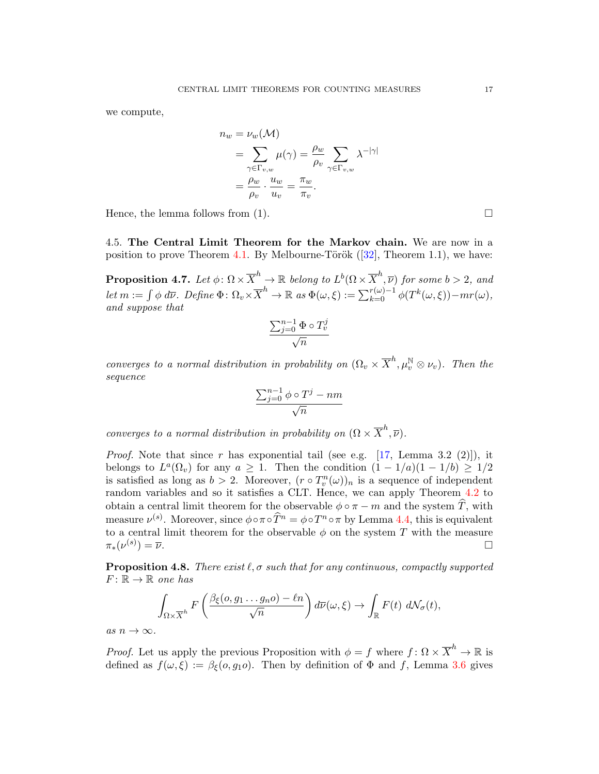we compute,

$$
n_w = \nu_w(\mathcal{M})
$$
  
=  $\sum_{\gamma \in \Gamma_{v,w}} \mu(\gamma) = \frac{\rho_w}{\rho_v} \sum_{\gamma \in \Gamma_{v,w}} \lambda^{-|\gamma|}$   
=  $\frac{\rho_w}{\rho_v} \cdot \frac{u_w}{u_v} = \frac{\pi_w}{\pi_v}.$ 

Hence, the lemma follows from  $(1)$ .

4.5. The Central Limit Theorem for the Markov chain. We are now in a position to prove Theorem [4.1.](#page-12-1) By Melbourne-Török  $(32)$ , Theorem 1.1), we have:

<span id="page-16-0"></span>**Proposition 4.7.** Let  $\phi \colon \Omega \times \overline{X}^h \to \mathbb{R}$  belong to  $L^b(\Omega \times \overline{X}^h, \overline{\nu})$  for some  $b > 2$ , and let  $m := \int \phi \ d\overline{\nu}$ . Define  $\Phi \colon \Omega_v \times \overline{X}^h \to \mathbb{R}$  as  $\Phi(\omega, \xi) := \sum_{k=0}^{r(\omega)-1} \phi(T^k(\omega, \xi)) - mr(\omega)$ , and suppose that

$$
\frac{\sum_{j=0}^{n-1} \Phi \circ T_v^j}{\sqrt{n}}
$$

converges to a normal distribution in probability on  $(\Omega_v \times \overline{X}^h, \mu_v^{\mathbb{N}} \otimes \nu_v)$ . Then the sequence

$$
\frac{\sum_{j=0}^{n-1} \phi \circ T^j - nm}{\sqrt{n}}
$$

converges to a normal distribution in probability on  $(\Omega \times \overline{X}^h, \overline{\nu})$ .

*Proof.* Note that since r has exponential tail (see e.g. [\[17,](#page-34-3) Lemma 3.2 (2)]), it belongs to  $L^a(\Omega_v)$  for any  $a \geq 1$ . Then the condition  $(1 - 1/a)(1 - 1/b) \geq 1/2$ is satisfied as long as  $b > 2$ . Moreover,  $(r \circ T_v^n(\omega))_n$  is a sequence of independent random variables and so it satisfies a CLT. Hence, we can apply Theorem [4.2](#page-13-0) to obtain a central limit theorem for the observable  $\phi \circ \pi - m$  and the system  $\widehat{T}$ , with measure  $\nu^{(s)}$ . Moreover, since  $\phi \circ \pi \circ \widehat{T}^n = \phi \circ T^n \circ \pi$  by Lemma [4.4,](#page-14-0) this is equivalent to a central limit theorem for the observable  $\phi$  on the system T with the measure  $\pi_*(\nu^{(s)}$  $) = \overline{\nu}.$ 

<span id="page-16-1"></span>**Proposition 4.8.** There exist  $\ell$ ,  $\sigma$  such that for any continuous, compactly supported  $F: \mathbb{R} \to \mathbb{R}$  one has

$$
\int_{\Omega\times\overline{X}^h} F\left(\frac{\beta_{\xi}(o,g_1\ldots g_n o)-\ell n}{\sqrt{n}}\right) d\overline{\nu}(\omega,\xi) \to \int_{\mathbb{R}} F(t) d\mathcal{N}_{\sigma}(t),
$$

as  $n \to \infty$ .

*Proof.* Let us apply the previous Proposition with  $\phi = f$  where  $f: \Omega \times \overline{X}^h \to \mathbb{R}$  is defined as  $f(\omega, \xi) := \beta_{\xi}(\omega, q_1 \omega)$ . Then by definition of  $\Phi$  and f, Lemma [3.6](#page-11-2) gives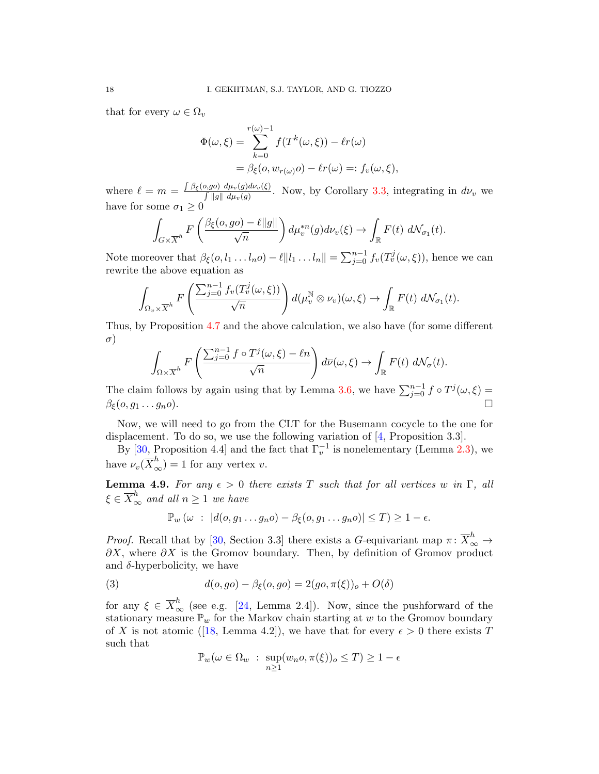that for every  $\omega \in \Omega_v$ 

$$
\Phi(\omega,\xi) = \sum_{k=0}^{r(\omega)-1} f(T^k(\omega,\xi)) - \ell r(\omega)
$$
  
=  $\beta_{\xi}(o, w_{r(\omega)}o) - \ell r(\omega) =: f_v(\omega,\xi),$ 

where  $\ell = m = \frac{\int \beta_{\xi}(o, go) d\mu_{v}(g) d\nu_{v}(\xi)}{\int ||q|| d\mu_{v}(g)}$  $\int ||g|| \frac{d\mu_v(g) d\nu_v(\xi)}{d\mu_v(g)}$ . Now, by Corollary [3.3,](#page-10-0) integrating in  $d\nu_v$  we have for some  $\sigma_1 \geq 0$ 

$$
\int_{G\times\overline{X}^h} F\left(\frac{\beta_{\xi}(o,go)-\ell\|g\|}{\sqrt{n}}\right) d\mu_v^{*n}(g) d\nu_v(\xi) \to \int_{\mathbb{R}} F(t) d\mathcal{N}_{\sigma_1}(t).
$$

Note moreover that  $\beta_{\xi}(o, l_1 \dots l_n o) - \ell || l_1 \dots l_n || = \sum_{j=0}^{n-1} f_v(T_v^j(\omega, \xi))$ , hence we can rewrite the above equation as

$$
\int_{\Omega_v\times\overline{X}^h} F\left(\frac{\sum_{j=0}^{n-1} f_v(T_v^j(\omega,\xi))}{\sqrt{n}}\right) d(\mu_v^{\mathbb{N}}\otimes\nu_v)(\omega,\xi)\to\int_{\mathbb{R}} F(t)\ d\mathcal{N}_{\sigma_1}(t).
$$

Thus, by Proposition [4.7](#page-16-0) and the above calculation, we also have (for some different  $\sigma$ )

$$
\int_{\Omega \times \overline{X}^h} F\left(\frac{\sum_{j=0}^{n-1} f \circ T^j(\omega,\xi) - \ell n}{\sqrt{n}}\right) d\overline{\nu}(\omega,\xi) \to \int_{\mathbb{R}} F(t) d\mathcal{N}_{\sigma}(t).
$$

The claim follows by again using that by Lemma [3.6,](#page-11-2) we have  $\sum_{j=0}^{n-1} f \circ T^{j}(\omega,\xi) =$  $\beta_{\xi}(o, g_1 \dots g_n o).$ 

Now, we will need to go from the CLT for the Busemann cocycle to the one for displacement. To do so, we use the following variation of [\[4,](#page-34-7) Proposition 3.3].

By [\[30,](#page-35-10) Proposition 4.4] and the fact that  $\Gamma_v^{-1}$  is nonelementary (Lemma [2.3\)](#page-7-1), we have  $\nu_v(\overline{X}_{\infty}^h) = 1$  for any vertex v.

<span id="page-17-1"></span>**Lemma 4.9.** For any  $\epsilon > 0$  there exists T such that for all vertices w in  $\Gamma$ , all  $\xi \in \overline{X}^h_\infty$  and all  $n \geq 1$  we have

<span id="page-17-0"></span>
$$
\mathbb{P}_w(\omega : |d(o, g_1 \dots g_n o) - \beta_{\xi}(o, g_1 \dots g_n o)| \leq T) \geq 1 - \epsilon.
$$

*Proof.* Recall that by [\[30,](#page-35-10) Section 3.3] there exists a G-equivariant map  $\pi \colon \overline{X}_{\infty}^h \to$  $\partial X$ , where  $\partial X$  is the Gromov boundary. Then, by definition of Gromov product and  $\delta$ -hyperbolicity, we have

(3) 
$$
d(o, go) - \beta_{\xi}(o, go) = 2(go, \pi(\xi))_o + O(\delta)
$$

for any  $\xi \in \overline{X}^h_{\infty}$  (see e.g. [\[24,](#page-35-9) Lemma 2.4]). Now, since the pushforward of the stationary measure  $\mathbb{P}_w$  for the Markov chain starting at w to the Gromov boundary ofX is not atomic ([\[18,](#page-34-8) Lemma 4.2]), we have that for every  $\epsilon > 0$  there exists T such that

$$
\mathbb{P}_w(\omega \in \Omega_w : \sup_{n \ge 1} (w_n o, \pi(\xi))_o \le T) \ge 1 - \epsilon
$$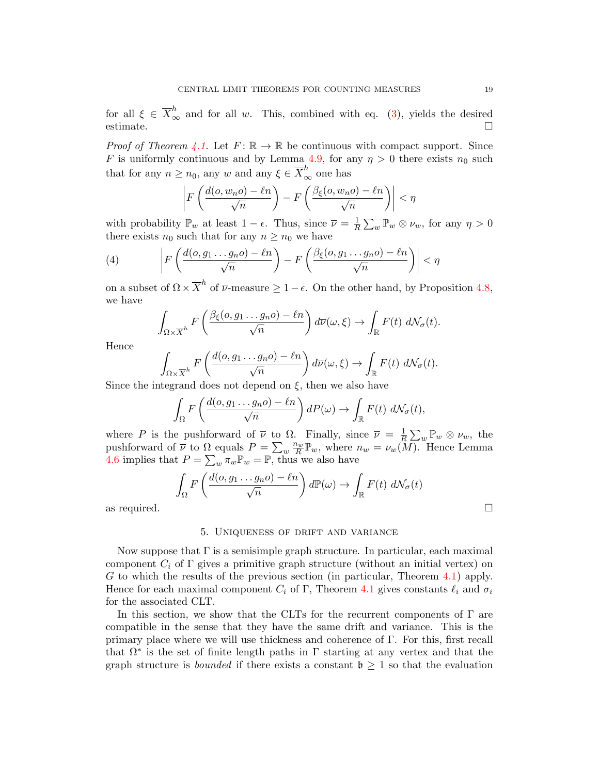for all  $\xi \in \overline{X}^h_{\infty}$  and for all w. This, combined with eq. [\(3\)](#page-17-0), yields the desired  $\Box$ estimate.  $\Box$ 

*Proof of Theorem [4.1.](#page-12-1)* Let  $F: \mathbb{R} \to \mathbb{R}$  be continuous with compact support. Since F is uniformly continuous and by Lemma [4.9,](#page-17-1) for any  $\eta > 0$  there exists  $n_0$  such that for any  $n \geq n_0$ , any w and any  $\xi \in \overline{X}^h_{\infty}$  one has

$$
\left| F\left(\frac{d(o, w_n o) - \ell n}{\sqrt{n}}\right) - F\left(\frac{\beta_{\xi}(o, w_n o) - \ell n}{\sqrt{n}}\right) \right| < \eta
$$

with probability  $\mathbb{P}_w$  at least  $1 - \epsilon$ . Thus, since  $\overline{\nu} = \frac{1}{R}$  $\frac{1}{R} \sum_{w} \mathbb{P}_{w} \otimes \nu_{w}$ , for any  $\eta > 0$ there exists  $n_0$  such that for any  $n \geq n_0$  we have

(4) 
$$
\left| F\left(\frac{d(o,g_1\dots g_n o) - \ell n}{\sqrt{n}}\right) - F\left(\frac{\beta_{\xi}(o,g_1\dots g_n o) - \ell n}{\sqrt{n}}\right) \right| < \eta
$$

on a subset of  $\Omega \times \overline{X}^h$  of  $\overline{\nu}$ -measure  $\geq 1-\epsilon$ . On the other hand, by Proposition [4.8,](#page-16-1) we have

$$
\int_{\Omega\times\overline{X}^h} F\left(\frac{\beta_{\xi}(o,g_1\ldots g_n o)-\ell n}{\sqrt{n}}\right) d\overline{\nu}(\omega,\xi) \to \int_{\mathbb{R}} F(t) d\mathcal{N}_{\sigma}(t).
$$

Hence

$$
\int_{\Omega \times \overline{X}^h} F\left(\frac{d(o, g_1 \dots g_n o) - \ell n}{\sqrt{n}}\right) d\overline{\nu}(\omega, \xi) \to \int_{\mathbb{R}} F(t) d\mathcal{N}_{\sigma}(t).
$$

Since the integrand does not depend on  $\xi$ , then we also have

$$
\int_{\Omega} F\left(\frac{d(o, g_1 \dots g_n o) - \ell n}{\sqrt{n}}\right) dP(\omega) \to \int_{\mathbb{R}} F(t) d\mathcal{N}_{\sigma}(t),
$$

where P is the pushforward of  $\overline{\nu}$  to  $\Omega$ . Finally, since  $\overline{\nu} = \frac{1}{R}$  $\frac{1}{R} \sum_{w} \mathbb{P}_w \otimes \nu_w$ , the pushforward of  $\overline{\nu}$  to  $\Omega$  equals  $P = \sum_{w} \frac{n_w}{R} \mathbb{P}_w$ , where  $n_w = \nu_w(M)$ . Hence Lemma [4.6](#page-15-0) implies that  $P = \sum_{w} \pi_w \mathbb{P}_w = \mathbb{P}$ , thus we also have

$$
\int_{\Omega} F\left(\frac{d(o, g_1 \dots g_n o) - \ell n}{\sqrt{n}}\right) d\mathbb{P}(\omega) \to \int_{\mathbb{R}} F(t) d\mathcal{N}_{\sigma}(t)
$$
  
as required.

## 5. Uniqueness of drift and variance

Now suppose that  $\Gamma$  is a semisimple graph structure. In particular, each maximal component  $C_i$  of  $\Gamma$  gives a primitive graph structure (without an initial vertex) on G to which the results of the previous section (in particular, Theorem [4.1\)](#page-12-1) apply. Hence for each maximal component  $C_i$  of Γ, Theorem [4.1](#page-12-1) gives constants  $\ell_i$  and  $\sigma_i$ for the associated CLT.

In this section, we show that the CLTs for the recurrent components of  $\Gamma$  are compatible in the sense that they have the same drift and variance. This is the primary place where we will use thickness and coherence of Γ. For this, first recall that  $\Omega^*$  is the set of finite length paths in  $\Gamma$  starting at any vertex and that the graph structure is *bounded* if there exists a constant  $\mathfrak{b} \geq 1$  so that the evaluation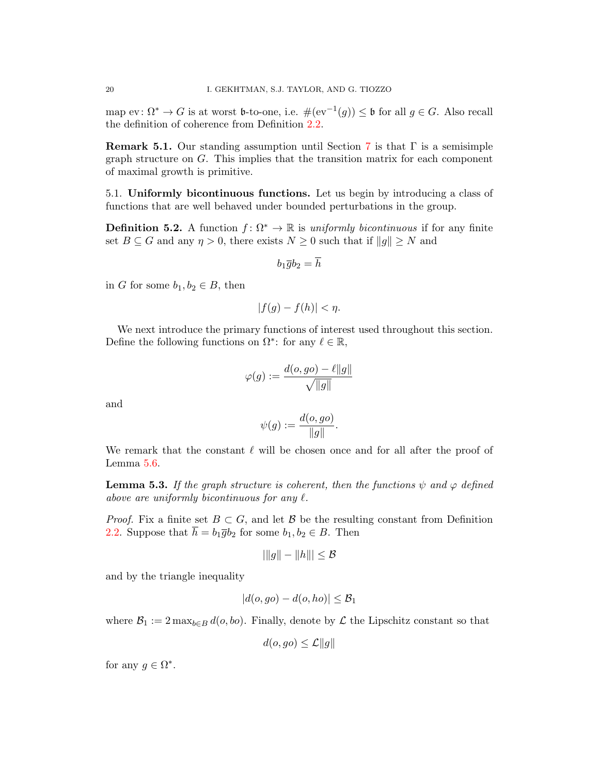map ev:  $\Omega^* \to G$  is at worst b-to-one, i.e.  $\#(\mathrm{ev}^{-1}(g)) \leq \mathfrak{b}$  for all  $g \in G$ . Also recall the definition of coherence from Definition [2.2.](#page-7-0)

**Remark 5.1.** Our standing assumption until Section [7](#page-27-0) is that  $\Gamma$  is a semisimple graph structure on G. This implies that the transition matrix for each component of maximal growth is primitive.

5.1. Uniformly bicontinuous functions. Let us begin by introducing a class of functions that are well behaved under bounded perturbations in the group.

<span id="page-19-0"></span>**Definition 5.2.** A function  $f: \Omega^* \to \mathbb{R}$  is uniformly bicontinuous if for any finite set  $B \subseteq G$  and any  $\eta > 0$ , there exists  $N \geq 0$  such that if  $||g|| \geq N$  and

$$
b_1\overline{g}b_2=\overline{h}
$$

in G for some  $b_1, b_2 \in B$ , then

$$
|f(g) - f(h)| < \eta.
$$

We next introduce the primary functions of interest used throughout this section. Define the following functions on  $\Omega^*$ : for any  $\ell \in \mathbb{R}$ ,

$$
\varphi(g):=\frac{d(o,go)-\ell\|g\|}{\sqrt{\|g\|}}
$$

and

$$
\psi(g) := \frac{d(o, go)}{\|g\|}.
$$

We remark that the constant  $\ell$  will be chosen once and for all after the proof of Lemma [5.6.](#page-22-0)

<span id="page-19-1"></span>**Lemma 5.3.** If the graph structure is coherent, then the functions  $\psi$  and  $\varphi$  defined above are uniformly bicontinuous for any  $\ell$ .

*Proof.* Fix a finite set  $B \subset G$ , and let B be the resulting constant from Definition [2.2.](#page-7-0) Suppose that  $\overline{h} = b_1 \overline{g} b_2$  for some  $b_1, b_2 \in B$ . Then

$$
|\|g\|-\|h\||\leq \mathcal{B}
$$

and by the triangle inequality

$$
|d(o, go) - d(o, ho)| \leq \mathcal{B}_1
$$

where  $\mathcal{B}_1 := 2 \max_{b \in B} d(o, bo)$ . Finally, denote by  $\mathcal L$  the Lipschitz constant so that

$$
d(o, go) \le \mathcal{L} ||g||
$$

for any  $g \in \Omega^*$ .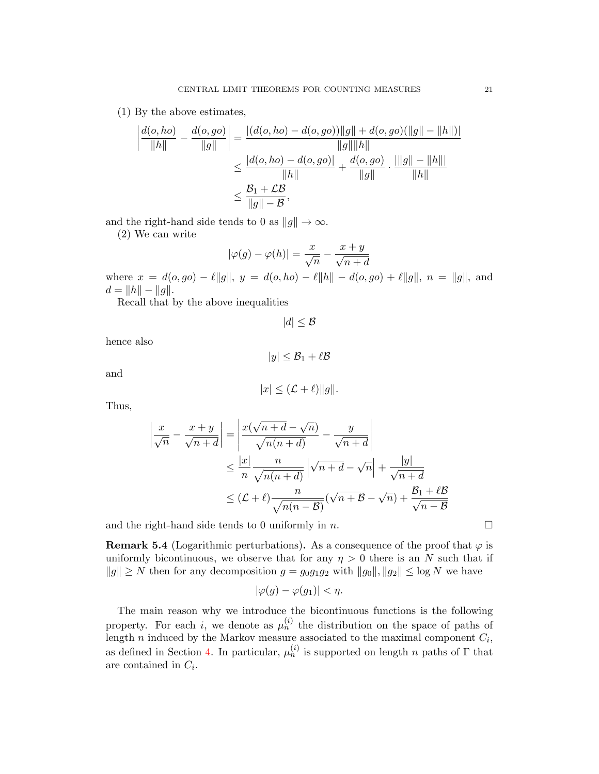(1) By the above estimates,

$$
\left| \frac{d(o, ho)}{\|h\|} - \frac{d(o, go)}{\|g\|} \right| = \frac{|(d(o, ho) - d(o, go))\|g\| + d(o, go)(\|g\| - \|h\|)|}{\|g\| \|h\|}
$$
  

$$
\leq \frac{|d(o, ho) - d(o, go)|}{\|h\|} + \frac{d(o, go)}{\|g\|} \cdot \frac{\|g\| - \|h\|}{\|h\|}
$$
  

$$
\leq \frac{B_1 + \mathcal{L}B}{\|g\| - B},
$$

and the right-hand side tends to 0 as  $||g|| \to \infty$ .

(2) We can write

$$
|\varphi(g) - \varphi(h)| = \frac{x}{\sqrt{n}} - \frac{x+y}{\sqrt{n+d}}
$$

where  $x = d(o, go) - \ell ||g||$ ,  $y = d(o, ho) - \ell ||h|| - d(o, go) + \ell ||g||$ ,  $n = ||g||$ , and  $d = ||h|| - ||g||.$ 

Recall that by the above inequalities

 $|d| \leq \mathcal{B}$ 

hence also

$$
|y|\leq \mathcal{B}_1+\ell \mathcal{B}
$$

and

$$
|x| \leq (\mathcal{L} + \ell) \|g\|.
$$

Thus,

$$
\left| \frac{x}{\sqrt{n}} - \frac{x+y}{\sqrt{n+d}} \right| = \left| \frac{x(\sqrt{n+d} - \sqrt{n})}{\sqrt{n(n+d)}} - \frac{y}{\sqrt{n+d}} \right|
$$
  

$$
\leq \frac{|x|}{n} \frac{n}{\sqrt{n(n+d)}} \left| \sqrt{n+d} - \sqrt{n} \right| + \frac{|y|}{\sqrt{n+d}}
$$
  

$$
\leq (\mathcal{L} + \ell) \frac{n}{\sqrt{n(n-B)}} (\sqrt{n+B} - \sqrt{n}) + \frac{\mathcal{B}_1 + \ell \mathcal{B}}{\sqrt{n-B}}
$$

and the right-hand side tends to 0 uniformly in n.

<span id="page-20-0"></span>**Remark 5.4** (Logarithmic perturbations). As a consequence of the proof that  $\varphi$  is uniformly bicontinuous, we observe that for any  $\eta > 0$  there is an N such that if  $||g|| \geq N$  then for any decomposition  $g = g_0g_1g_2$  with  $||g_0||, ||g_2|| \leq \log N$  we have

$$
|\varphi(g) - \varphi(g_1)| < \eta.
$$

The main reason why we introduce the bicontinuous functions is the following property. For each i, we denote as  $\mu_n^{(i)}$  the distribution on the space of paths of length n induced by the Markov measure associated to the maximal component  $C_i$ , as defined in Section [4.](#page-12-0) In particular,  $\mu_n^{(i)}$  is supported on length n paths of  $\Gamma$  that are contained in  $C_i$ .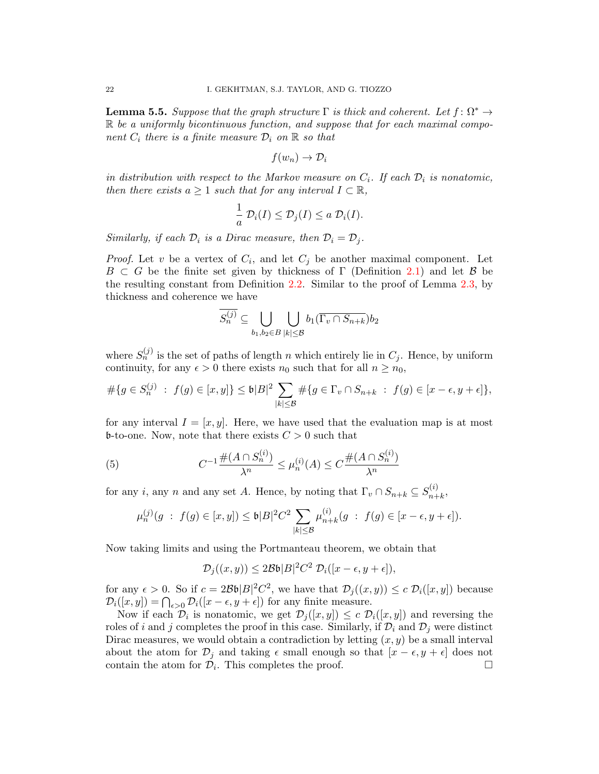<span id="page-21-0"></span>**Lemma 5.5.** Suppose that the graph structure  $\Gamma$  is thick and coherent. Let  $f: \Omega^* \to$  $\mathbb R$  be a uniformly bicontinuous function, and suppose that for each maximal component  $C_i$  there is a finite measure  $\mathcal{D}_i$  on  $\mathbb R$  so that

$$
f(w_n) \to \mathcal{D}_i
$$

in distribution with respect to the Markov measure on  $C_i$ . If each  $D_i$  is nonatomic, then there exists  $a \geq 1$  such that for any interval  $I \subset \mathbb{R}$ ,

$$
\frac{1}{a}\mathcal{D}_i(I) \leq \mathcal{D}_j(I) \leq a \mathcal{D}_i(I).
$$

Similarly, if each  $\mathcal{D}_i$  is a Dirac measure, then  $\mathcal{D}_i = \mathcal{D}_j$ .

*Proof.* Let v be a vertex of  $C_i$ , and let  $C_j$  be another maximal component. Let  $B \subset G$  be the finite set given by thickness of  $\Gamma$  (Definition [2.1\)](#page-6-0) and let B be the resulting constant from Definition [2.2.](#page-7-0) Similar to the proof of Lemma [2.3,](#page-7-1) by thickness and coherence we have

$$
S_n^{(j)} \subseteq \bigcup_{b_1, b_2 \in B} \bigcup_{|k| \leq \mathcal{B}} b_1(\overline{\Gamma_v \cap S_{n+k}}) b_2
$$

where  $S_n^{(j)}$  is the set of paths of length n which entirely lie in  $C_j$ . Hence, by uniform continuity, for any  $\epsilon > 0$  there exists  $n_0$  such that for all  $n \geq n_0$ ,

$$
\# \{ g \in S_n^{(j)} \; : \; f(g) \in [x, y] \} \leq \mathfrak{b} |B|^2 \sum_{|k| \leq \mathcal{B}} \# \{ g \in \Gamma_v \cap S_{n+k} \; : \; f(g) \in [x - \epsilon, y + \epsilon] \},
$$

for any interval  $I = [x, y]$ . Here, we have used that the evaluation map is at most **b**-to-one. Now, note that there exists  $C > 0$  such that

(5) 
$$
C^{-1} \frac{\#(A \cap S_n^{(i)})}{\lambda^n} \le \mu_n^{(i)}(A) \le C \frac{\#(A \cap S_n^{(i)})}{\lambda^n}
$$

for any i, any n and any set A. Hence, by noting that  $\Gamma_v \cap S_{n+k} \subseteq S_{n+k}^{(i)}$  $n+k$ ,

$$
\mu_n^{(j)}(g \; : \; f(g) \in [x, y]) \le \mathfrak{b}|B|^2 C^2 \sum_{|k| \le \mathcal{B}} \mu_{n+k}^{(i)}(g \; : \; f(g) \in [x - \epsilon, y + \epsilon]).
$$

Now taking limits and using the Portmanteau theorem, we obtain that

$$
\mathcal{D}_j((x,y)) \leq 2\mathcal{B}\mathfrak{b}|B|^2C^2 \mathcal{D}_i([x-\epsilon,y+\epsilon]),
$$

for any  $\epsilon > 0$ . So if  $c = 2\mathcal{B}\mathfrak{b}|B|^2C^2$ , we have that  $\mathcal{D}_j((x, y)) \leq c \mathcal{D}_i([x, y])$  because  $\mathcal{D}_i([x, y]) = \bigcap_{\epsilon > 0} \mathcal{D}_i([x - \epsilon, y + \epsilon])$  for any finite measure.

Now if each  $\mathcal{D}_i$  is nonatomic, we get  $\mathcal{D}_j([x,y]) \leq c \ \mathcal{D}_i([x,y])$  and reversing the roles of i and j completes the proof in this case. Similarly, if  $\mathcal{D}_i$  and  $\mathcal{D}_j$  were distinct Dirac measures, we would obtain a contradiction by letting  $(x, y)$  be a small interval about the atom for  $\mathcal{D}_j$  and taking  $\epsilon$  small enough so that  $[x - \epsilon, y + \epsilon]$  does not contain the atom for  $\mathcal{D}_i$ . This completes the proof.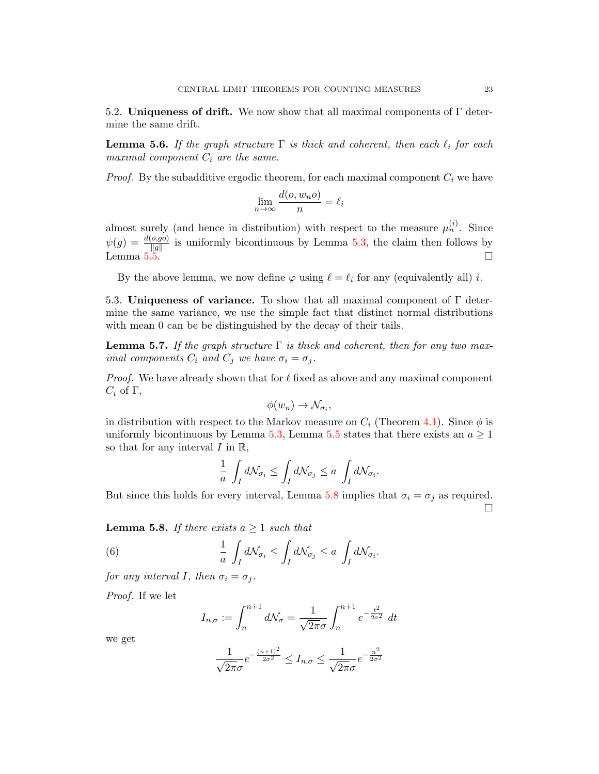5.2. Uniqueness of drift. We now show that all maximal components of  $\Gamma$  determine the same drift.

<span id="page-22-0"></span>**Lemma 5.6.** If the graph structure  $\Gamma$  is thick and coherent, then each  $\ell_i$  for each maximal component  $C_i$  are the same.

*Proof.* By the subadditive ergodic theorem, for each maximal component  $C_i$  we have

$$
\lim_{n \to \infty} \frac{d(o, w_n o)}{n} = \ell_i
$$

almost surely (and hence in distribution) with respect to the measure  $\mu_n^{(i)}$ . Since  $\psi(g) = \frac{d(o, g o)}{\|g\|}$  is uniformly bicontinuous by Lemma [5.3,](#page-19-1) the claim then follows by Lemma  $5.5.$ 

By the above lemma, we now define  $\varphi$  using  $\ell = \ell_i$  for any (equivalently all) i.

5.3. Uniqueness of variance. To show that all maximal component of  $\Gamma$  determine the same variance, we use the simple fact that distinct normal distributions with mean 0 can be be distinguished by the decay of their tails.

<span id="page-22-3"></span>**Lemma 5.7.** If the graph structure  $\Gamma$  is thick and coherent, then for any two maximal components  $C_i$  and  $C_j$  we have  $\sigma_i = \sigma_j$ .

*Proof.* We have already shown that for  $\ell$  fixed as above and any maximal component  $C_i$  of  $\Gamma$ ,

$$
\phi(w_n) \to \mathcal{N}_{\sigma_i},
$$

in distribution with respect to the Markov measure on  $C_i$  (Theorem [4.1\)](#page-12-1). Since  $\phi$  is uniformly bicontinuous by Lemma [5.3,](#page-19-1) Lemma [5.5](#page-21-0) states that there exists an  $a \ge 1$ so that for any interval  $I$  in  $\mathbb{R}$ ,

$$
\frac{1}{a} \int_I d\mathcal{N}_{\sigma_i} \le \int_I d\mathcal{N}_{\sigma_j} \le a \int_I d\mathcal{N}_{\sigma_i}.
$$

But since this holds for every interval, Lemma [5.8](#page-22-1) implies that  $\sigma_i = \sigma_j$  as required.  $\Box$ 

<span id="page-22-1"></span>**Lemma 5.8.** If there exists  $a \geq 1$  such that

(6) 
$$
\frac{1}{a} \int_{I} d\mathcal{N}_{\sigma_i} \leq \int_{I} d\mathcal{N}_{\sigma_j} \leq a \int_{I} d\mathcal{N}_{\sigma_i}.
$$

for any interval I, then  $\sigma_i = \sigma_j$ .

Proof. If we let

<span id="page-22-2"></span>
$$
I_{n,\sigma} := \int_n^{n+1} d\mathcal{N}_{\sigma} = \frac{1}{\sqrt{2\pi}\sigma} \int_n^{n+1} e^{-\frac{t^2}{2\sigma^2}} dt
$$

we get

$$
\frac{1}{\sqrt{2\pi}\sigma}e^{-\frac{(n+1)^2}{2\sigma^2}} \le I_{n,\sigma} \le \frac{1}{\sqrt{2\pi}\sigma}e^{-\frac{n^2}{2\sigma^2}}
$$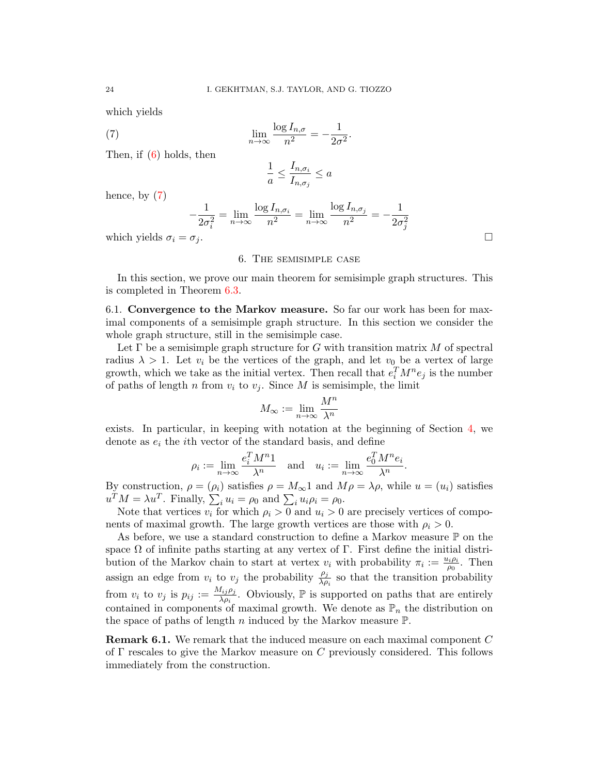which yields

(7) 
$$
\lim_{n \to \infty} \frac{\log I_{n,\sigma}}{n^2} = -\frac{1}{2\sigma^2}.
$$

Then, if  $(6)$  holds, then

<span id="page-23-0"></span>
$$
\frac{1}{a} \le \frac{I_{n,\sigma_i}}{I_{n,\sigma_j}} \le a
$$

hence, by  $(7)$ 

$$
-\frac{1}{2\sigma_i^2} = \lim_{n \to \infty} \frac{\log I_{n,\sigma_i}}{n^2} = \lim_{n \to \infty} \frac{\log I_{n,\sigma_j}}{n^2} = -\frac{1}{2\sigma_j^2}
$$

which yields  $\sigma_i = \sigma_j$ .

#### 6. The semisimple case

In this section, we prove our main theorem for semisimple graph structures. This is completed in Theorem [6.3.](#page-25-0)

6.1. Convergence to the Markov measure. So far our work has been for maximal components of a semisimple graph structure. In this section we consider the whole graph structure, still in the semisimple case.

Let  $\Gamma$  be a semisimple graph structure for G with transition matrix M of spectral radius  $\lambda > 1$ . Let  $v_i$  be the vertices of the graph, and let  $v_0$  be a vertex of large growth, which we take as the initial vertex. Then recall that  $e_i^T M^n e_j$  is the number of paths of length n from  $v_i$  to  $v_j$ . Since M is semisimple, the limit

$$
M_{\infty} := \lim_{n \to \infty} \frac{M^n}{\lambda^n}
$$

exists. In particular, in keeping with notation at the beginning of Section [4,](#page-12-0) we denote as  $e_i$  the *i*th vector of the standard basis, and define

$$
\rho_i := \lim_{n \to \infty} \frac{e_i^T M^n 1}{\lambda^n} \quad \text{and} \quad u_i := \lim_{n \to \infty} \frac{e_0^T M^n e_i}{\lambda^n}.
$$

By construction,  $\rho = (\rho_i)$  satisfies  $\rho = M_{\infty}1$  and  $M\rho = \lambda \rho$ , while  $u = (u_i)$  satisfies  $u^T M = \lambda u^T$ . Finally,  $\sum_i u_i = \rho_0$  and  $\sum_i u_i \rho_i = \rho_0$ .

Note that vertices  $v_i$  for which  $\rho_i > 0$  and  $u_i > 0$  are precisely vertices of components of maximal growth. The large growth vertices are those with  $\rho_i > 0$ .

As before, we use a standard construction to define a Markov measure  $\mathbb P$  on the space  $\Omega$  of infinite paths starting at any vertex of  $\Gamma$ . First define the initial distribution of the Markov chain to start at vertex  $v_i$  with probability  $\pi_i := \frac{u_i \rho_i}{\rho_0}$  $\frac{\partial^i \rho_i}{\partial \rho_0}$ . Then assign an edge from  $v_i$  to  $v_j$  the probability  $\frac{\rho_j}{\lambda \rho_i}$  so that the transition probability from  $v_i$  to  $v_j$  is  $p_{ij} := \frac{M_{ij} \rho_j}{\lambda \rho_i}$  $\frac{d_{ij}\rho_j}{\lambda \rho_i}$ . Obviously,  $\mathbb P$  is supported on paths that are entirely contained in components of maximal growth. We denote as  $\mathbb{P}_n$  the distribution on the space of paths of length n induced by the Markov measure  $\mathbb{P}$ .

**Remark 6.1.** We remark that the induced measure on each maximal component  $C$ of  $\Gamma$  rescales to give the Markov measure on C previously considered. This follows immediately from the construction.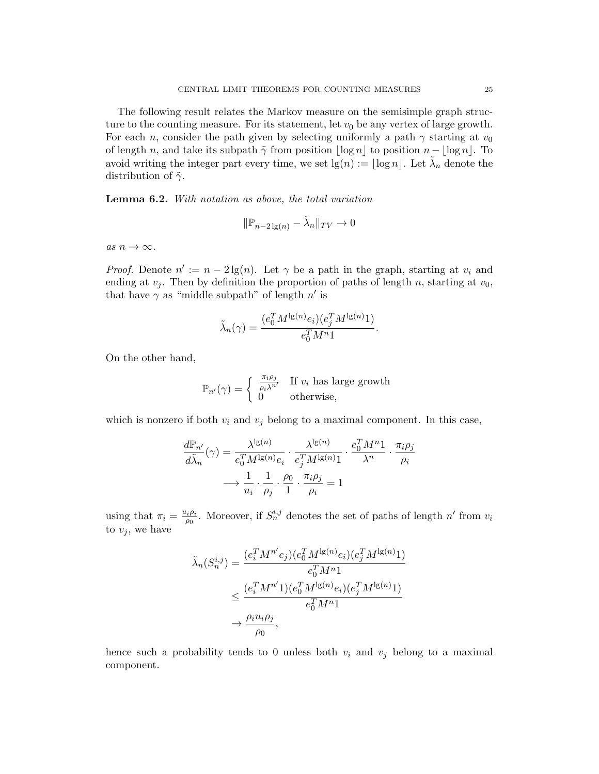The following result relates the Markov measure on the semisimple graph structure to the counting measure. For its statement, let  $v_0$  be any vertex of large growth. For each n, consider the path given by selecting uniformly a path  $\gamma$  starting at  $v_0$ of length n, and take its subpath  $\tilde{\gamma}$  from position  $\log n|\log n|$  to position  $n - |\log n|$ . To avoid writing the integer part every time, we set  $\lg(n) := \lfloor \log n \rfloor$ . Let  $\tilde{\lambda}_n$  denote the distribution of  $\tilde{\gamma}$ .

<span id="page-24-0"></span>Lemma 6.2. With notation as above, the total variation

$$
\|\mathbb{P}_{n-2\lg(n)} - \lambda_n\|_{TV} \to 0
$$

as  $n \to \infty$ .

*Proof.* Denote  $n' := n - 2\lg(n)$ . Let  $\gamma$  be a path in the graph, starting at  $v_i$  and ending at  $v_i$ . Then by definition the proportion of paths of length n, starting at  $v_0$ , that have  $\gamma$  as "middle subpath" of length  $n'$  is

$$
\tilde{\lambda}_n(\gamma) = \frac{(e_0^T M^{\lg(n)} e_i)(e_j^T M^{\lg(n)} 1)}{e_0^T M^{n} 1}.
$$

On the other hand,

$$
\mathbb{P}_{n'}(\gamma) = \begin{cases} \frac{\pi_i \rho_j}{\rho_i \lambda^{n'}} & \text{If } v_i \text{ has large growth} \\ 0 & \text{otherwise,} \end{cases}
$$

which is nonzero if both  $v_i$  and  $v_j$  belong to a maximal component. In this case,

$$
\frac{d\mathbb{P}_{n'}}{d\tilde{\lambda}_{n}}(\gamma) = \frac{\lambda^{\lg(n)}}{e_0^T M^{\lg(n)} e_i} \cdot \frac{\lambda^{\lg(n)}}{e_j^T M^{\lg(n)} 1} \cdot \frac{e_0^T M^{n} 1}{\lambda^n} \cdot \frac{\pi_i \rho_j}{\rho_i}
$$

$$
\longrightarrow \frac{1}{u_i} \cdot \frac{1}{\rho_j} \cdot \frac{\rho_0}{1} \cdot \frac{\pi_i \rho_j}{\rho_i} = 1
$$

using that  $\pi_i = \frac{u_i \rho_i}{\rho_0}$  $\frac{\partial^i \rho_i}{\partial \rho_i}$ . Moreover, if  $S_n^{i,j}$  denotes the set of paths of length  $n'$  from  $v_i$ to  $v_j$ , we have

$$
\tilde{\lambda}_n(S_n^{i,j}) = \frac{(e_i^T M^{n'} e_j)(e_0^T M^{lg(n)} e_i)(e_j^T M^{lg(n)} 1)}{e_0^T M^n 1} \n\leq \frac{(e_i^T M^{n'} 1)(e_0^T M^{lg(n)} e_i)(e_j^T M^{lg(n)} 1)}{e_0^T M^n 1} \n\to \frac{\rho_i u_i \rho_j}{\rho_0},
$$

hence such a probability tends to 0 unless both  $v_i$  and  $v_j$  belong to a maximal component.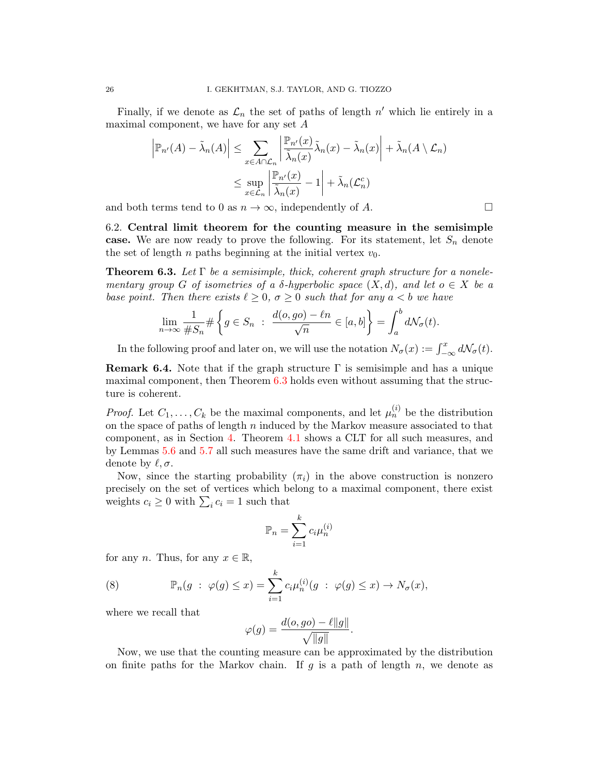Finally, if we denote as  $\mathcal{L}_n$  the set of paths of length  $n'$  which lie entirely in a maximal component, we have for any set  $A$ 

$$
\left|\mathbb{P}_{n'}(A) - \tilde{\lambda}_n(A)\right| \leq \sum_{x \in A \cap \mathcal{L}_n} \left|\frac{\mathbb{P}_{n'}(x)}{\tilde{\lambda}_n(x)} \tilde{\lambda}_n(x) - \tilde{\lambda}_n(x)\right| + \tilde{\lambda}_n(A \setminus \mathcal{L}_n)
$$
  

$$
\leq \sup_{x \in \mathcal{L}_n} \left|\frac{\mathbb{P}_{n'}(x)}{\tilde{\lambda}_n(x)} - 1\right| + \tilde{\lambda}_n(\mathcal{L}_n^c)
$$

and both terms tend to 0 as  $n \to \infty$ , independently of A.

6.2. Central limit theorem for the counting measure in the semisimple case. We are now ready to prove the following. For its statement, let  $S_n$  denote the set of length  $n$  paths beginning at the initial vertex  $v_0$ .

<span id="page-25-0"></span>**Theorem 6.3.** Let  $\Gamma$  be a semisimple, thick, coherent graph structure for a nonelementary group G of isometries of a  $\delta$ -hyperbolic space  $(X, d)$ , and let  $o \in X$  be a base point. Then there exists  $\ell \geq 0$ ,  $\sigma \geq 0$  such that for any  $a < b$  we have

$$
\lim_{n \to \infty} \frac{1}{\#S_n} \# \left\{ g \in S_n \ : \ \frac{d(o, go) - \ell n}{\sqrt{n}} \in [a, b] \right\} = \int_a^b d\mathcal{N}_{\sigma}(t).
$$

In the following proof and later on, we will use the notation  $N_{\sigma}(x) := \int_{-\infty}^{x} dN_{\sigma}(t)$ .

<span id="page-25-2"></span>**Remark 6.4.** Note that if the graph structure  $\Gamma$  is semisimple and has a unique maximal component, then Theorem [6.3](#page-25-0) holds even without assuming that the structure is coherent.

*Proof.* Let  $C_1, \ldots, C_k$  be the maximal components, and let  $\mu_n^{(i)}$  be the distribution on the space of paths of length  $n$  induced by the Markov measure associated to that component, as in Section [4.](#page-12-0) Theorem [4.1](#page-12-1) shows a CLT for all such measures, and by Lemmas [5.6](#page-22-0) and [5.7](#page-22-3) all such measures have the same drift and variance, that we denote by  $\ell, \sigma$ .

Now, since the starting probability  $(\pi_i)$  in the above construction is nonzero precisely on the set of vertices which belong to a maximal component, there exist weights  $c_i \geq 0$  with  $\sum_i c_i = 1$  such that

$$
\mathbb{P}_n = \sum_{i=1}^k c_i \mu_n^{(i)}
$$

for any n. Thus, for any  $x \in \mathbb{R}$ ,

<span id="page-25-1"></span>(8) 
$$
\mathbb{P}_n(g \; : \; \varphi(g) \leq x) = \sum_{i=1}^k c_i \mu_n^{(i)}(g \; : \; \varphi(g) \leq x) \to N_\sigma(x),
$$

where we recall that

$$
\varphi(g) = \frac{d(o, go) - \ell ||g||}{\sqrt{||g||}}.
$$

Now, we use that the counting measure can be approximated by the distribution on finite paths for the Markov chain. If g is a path of length n, we denote as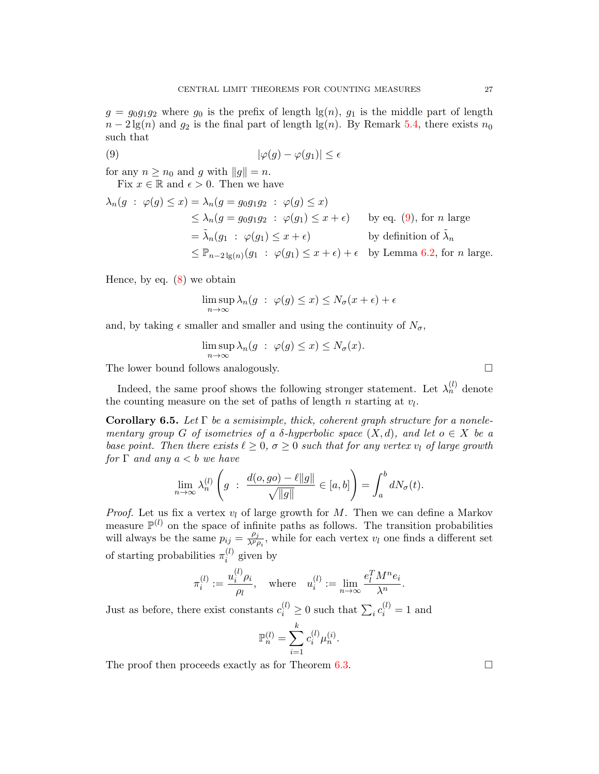$g = g_0 g_1 g_2$  where  $g_0$  is the prefix of length  $\lg(n)$ ,  $g_1$  is the middle part of length  $n-2\lg(n)$  and  $g_2$  is the final part of length  $\lg(n)$ . By Remark [5.4,](#page-20-0) there exists  $n_0$ such that

$$
|\varphi(g) - \varphi(g_1)| \le \epsilon
$$

for any  $n \geq n_0$  and g with  $||g|| = n$ .

<span id="page-26-0"></span>Fix  $x \in \mathbb{R}$  and  $\epsilon > 0$ . Then we have

$$
\lambda_n(g \; : \; \varphi(g) \le x) = \lambda_n(g = g_0g_1g_2 \; : \; \varphi(g) \le x)
$$
\n
$$
\le \lambda_n(g = g_0g_1g_2 \; : \; \varphi(g_1) \le x + \epsilon) \qquad \text{by eq. (9), for } n \text{ large}
$$
\n
$$
= \tilde{\lambda}_n(g_1 \; : \; \varphi(g_1) \le x + \epsilon) \qquad \text{by definition of } \tilde{\lambda}_n
$$
\n
$$
\le \mathbb{P}_{n-2\lg(n)}(g_1 \; : \; \varphi(g_1) \le x + \epsilon) + \epsilon \qquad \text{by Lemma 6.2, for } n \text{ large.}
$$

Hence, by eq.  $(8)$  we obtain

$$
\limsup_{n \to \infty} \lambda_n(g \; : \; \varphi(g) \le x) \le N_{\sigma}(x + \epsilon) + \epsilon
$$

and, by taking  $\epsilon$  smaller and smaller and using the continuity of  $N_{\sigma}$ ,

$$
\limsup_{n \to \infty} \lambda_n(g \; : \; \varphi(g) \leq x) \leq N_{\sigma}(x).
$$

The lower bound follows analogously.

Indeed, the same proof shows the following stronger statement. Let  $\lambda_n^{(l)}$  denote the counting measure on the set of paths of length  $n$  starting at  $v_l$ .

<span id="page-26-1"></span>**Corollary 6.5.** Let  $\Gamma$  be a semisimple, thick, coherent graph structure for a nonelementary group G of isometries of a  $\delta$ -hyperbolic space  $(X, d)$ , and let  $o \in X$  be a base point. Then there exists  $\ell \geq 0$ ,  $\sigma \geq 0$  such that for any vertex  $v_l$  of large growth for  $\Gamma$  and any  $a < b$  we have

$$
\lim_{n \to \infty} \lambda_n^{(l)} \left( g \; : \; \frac{d(o, go) - \ell ||g||}{\sqrt{||g||}} \in [a, b] \right) = \int_a^b dN_{\sigma}(t).
$$

*Proof.* Let us fix a vertex  $v_l$  of large growth for M. Then we can define a Markov measure  $\mathbb{P}^{(l)}$  on the space of infinite paths as follows. The transition probabilities will always be the same  $p_{ij} = \frac{\rho_j}{\lambda^p i}$  $\frac{\rho_j}{\lambda^p \rho_i}$ , while for each vertex  $v_l$  one finds a different set of starting probabilities  $\pi_i^{(l)}$  $i^{(i)}$  given by

$$
\pi_i^{(l)} := \frac{u_i^{(l)} \rho_i}{\rho_l}, \quad \text{where} \quad u_i^{(l)} := \lim_{n \to \infty} \frac{e_l^T M^n e_i}{\lambda^n}.
$$

Just as before, there exist constants  $c_i^{(l)} \geq 0$  such that  $\sum_i c_i^{(l)} = 1$  and

$$
\mathbb{P}_n^{(l)} = \sum_{i=1}^k c_i^{(l)} \mu_n^{(i)}.
$$

The proof then proceeds exactly as for Theorem [6.3.](#page-25-0)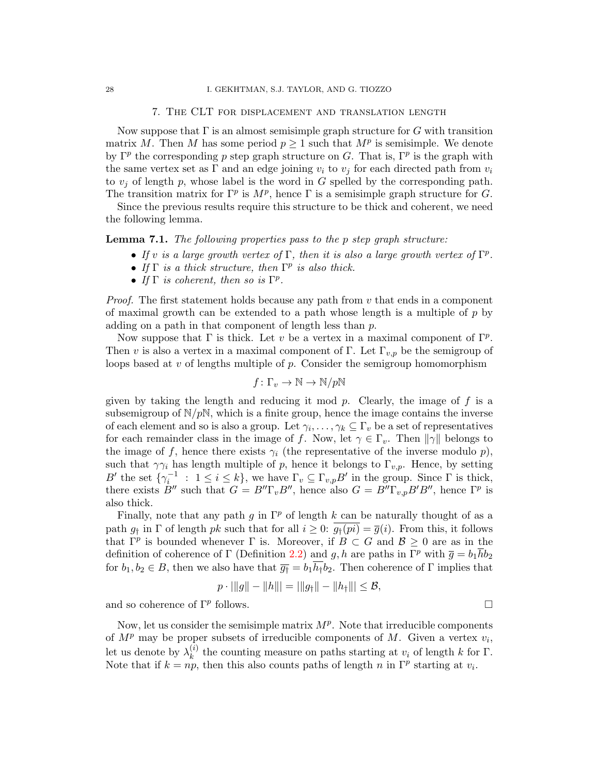# 7. The CLT for displacement and translation length

<span id="page-27-0"></span>Now suppose that  $\Gamma$  is an almost semisimple graph structure for G with transition matrix M. Then M has some period  $p \geq 1$  such that  $M^p$  is semisimple. We denote by  $\Gamma^p$  the corresponding p step graph structure on G. That is,  $\Gamma^p$  is the graph with the same vertex set as  $\Gamma$  and an edge joining  $v_i$  to  $v_j$  for each directed path from  $v_i$ to  $v_i$  of length p, whose label is the word in G spelled by the corresponding path. The transition matrix for  $\Gamma^p$  is  $M^p$ , hence  $\Gamma$  is a semisimple graph structure for G.

Since the previous results require this structure to be thick and coherent, we need the following lemma.

Lemma 7.1. The following properties pass to the p step graph structure:

- If v is a large growth vertex of  $\Gamma$ , then it is also a large growth vertex of  $\Gamma^p$ .
- If  $\Gamma$  is a thick structure, then  $\Gamma^p$  is also thick.
- If  $\Gamma$  is coherent, then so is  $\Gamma^p$ .

*Proof.* The first statement holds because any path from  $v$  that ends in a component of maximal growth can be extended to a path whose length is a multiple of  $p$  by adding on a path in that component of length less than  $p$ .

Now suppose that  $\Gamma$  is thick. Let v be a vertex in a maximal component of  $\Gamma^p$ . Then v is also a vertex in a maximal component of Γ. Let  $\Gamma_{v,p}$  be the semigroup of loops based at  $v$  of lengths multiple of  $p$ . Consider the semigroup homomorphism

$$
f\colon\Gamma_v\to\mathbb{N}\to\mathbb{N}/p\mathbb{N}
$$

given by taking the length and reducing it mod  $p$ . Clearly, the image of  $f$  is a subsemigroup of  $N/pN$ , which is a finite group, hence the image contains the inverse of each element and so is also a group. Let  $\gamma_i, \ldots, \gamma_k \subseteq \Gamma_v$  be a set of representatives for each remainder class in the image of f. Now, let  $\gamma \in \Gamma_v$ . Then  $\|\gamma\|$  belongs to the image of f, hence there exists  $\gamma_i$  (the representative of the inverse modulo p), such that  $\gamma \gamma_i$  has length multiple of p, hence it belongs to  $\Gamma_{v,p}$ . Hence, by setting B' the set  $\{\gamma_i^{-1} : 1 \le i \le k\}$ , we have  $\Gamma_v \subseteq \Gamma_{v,p}B'$  in the group. Since  $\Gamma$  is thick, there exists  $B''$  such that  $G = B'' \Gamma_v B''$ , hence also  $G = B'' \Gamma_{v,p} B' B''$ , hence  $\Gamma^p$  is also thick.

Finally, note that any path g in  $\Gamma^p$  of length k can be naturally thought of as a path  $g_{\dagger}$  in  $\Gamma$  of length pk such that for all  $i \geq 0$ :  $\overline{g_{\dagger}}(pi) = \overline{g}(i)$ . From this, it follows that  $\Gamma^p$  is bounded whenever  $\Gamma$  is. Moreover, if  $B \subset G$  and  $\mathcal{B} \geq 0$  are as in the definition of coherence of Γ (Definition [2.2\)](#page-7-0) and g, h are paths in  $\Gamma^p$  with  $\bar{g} = b_1 \bar{h}b_2$ for  $b_1, b_2 \in B$ , then we also have that  $\overline{g}_{\overline{1}} = b_1 \overline{h}_{\overline{1}} b_2$ . Then coherence of  $\Gamma$  implies that

$$
p \cdot ||g|| - ||h||| = ||g_{\dagger}|| - ||h_{\dagger}||| \leq \mathcal{B},
$$

and so coherence of  $\Gamma^p$  follows. follows.  $\Box$ 

Now, let us consider the semisimple matrix  $M<sup>p</sup>$ . Note that irreducible components of  $M^p$  may be proper subsets of irreducible components of M. Given a vertex  $v_i$ , let us denote by  $\lambda_k^{(i)}$  $\binom{v}{k}$  the counting measure on paths starting at  $v_i$  of length k for  $\Gamma$ . Note that if  $k = np$ , then this also counts paths of length n in  $\Gamma^p$  starting at  $v_i$ .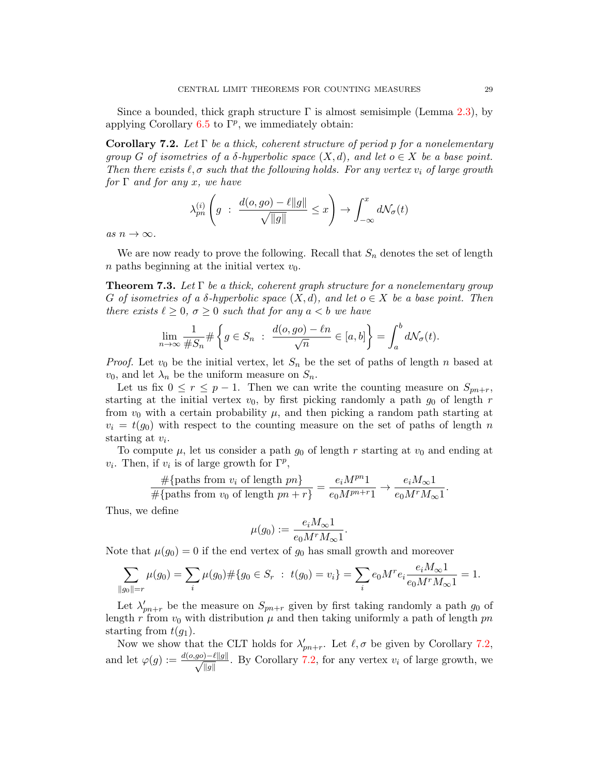Since a bounded, thick graph structure  $\Gamma$  is almost semisimple (Lemma [2.3\)](#page-7-1), by applying Corollary  $6.5$  to  $\Gamma^p$ , we immediately obtain:

<span id="page-28-1"></span>Corollary 7.2. Let  $\Gamma$  be a thick, coherent structure of period p for a nonelementary group G of isometries of a  $\delta$ -hyperbolic space  $(X, d)$ , and let  $o \in X$  be a base point. Then there exists  $\ell, \sigma$  such that the following holds. For any vertex  $v_i$  of large growth for  $\Gamma$  and for any x, we have

$$
\lambda_{pn}^{(i)}\left(g \; : \; \frac{d(o, go) - \ell||g||}{\sqrt{||g||}} \leq x\right) \to \int_{-\infty}^{x} d\mathcal{N}_{\sigma}(t)
$$

as  $n \to \infty$ .

We are now ready to prove the following. Recall that  $S_n$  denotes the set of length n paths beginning at the initial vertex  $v_0$ .

<span id="page-28-0"></span>**Theorem 7.3.** Let  $\Gamma$  be a thick, coherent graph structure for a nonelementary group G of isometries of a  $\delta$ -hyperbolic space  $(X, d)$ , and let  $o \in X$  be a base point. Then there exists  $\ell \geq 0$ ,  $\sigma \geq 0$  such that for any  $a < b$  we have

$$
\lim_{n \to \infty} \frac{1}{\#S_n} \# \left\{ g \in S_n \ : \ \frac{d(o, go) - \ell n}{\sqrt{n}} \in [a, b] \right\} = \int_a^b d\mathcal{N}_{\sigma}(t).
$$

*Proof.* Let  $v_0$  be the initial vertex, let  $S_n$  be the set of paths of length n based at  $v_0$ , and let  $\lambda_n$  be the uniform measure on  $S_n$ .

Let us fix  $0 \le r \le p-1$ . Then we can write the counting measure on  $S_{pn+r}$ , starting at the initial vertex  $v_0$ , by first picking randomly a path  $g_0$  of length r from  $v_0$  with a certain probability  $\mu$ , and then picking a random path starting at  $v_i = t(g_0)$  with respect to the counting measure on the set of paths of length n starting at  $v_i$ .

To compute  $\mu$ , let us consider a path  $g_0$  of length r starting at  $v_0$  and ending at  $v_i$ . Then, if  $v_i$  is of large growth for  $\Gamma^p$ ,

$$
\frac{\#\{\text{paths from }v_i \text{ of length }pn\}}{\#\{\text{paths from }v_0 \text{ of length }pn + r\}} = \frac{e_i M^{pn} 1}{e_0 M^{pn+r} 1} \to \frac{e_i M_{\infty} 1}{e_0 M^r M_{\infty} 1}.
$$

Thus, we define

$$
\mu(g_0):=\frac{e_iM_\infty\mathbf{1}}{e_0M^rM_\infty\mathbf{1}}.
$$

Note that  $\mu(g_0) = 0$  if the end vertex of  $g_0$  has small growth and moreover

$$
\sum_{\|g_0\|=r} \mu(g_0) = \sum_i \mu(g_0) \# \{g_0 \in S_r : t(g_0) = v_i\} = \sum_i e_0 M^r e_i \frac{e_i M_\infty 1}{e_0 M^r M_\infty 1} = 1.
$$

Let  $\lambda'_{pn+r}$  be the measure on  $S_{pn+r}$  given by first taking randomly a path  $g_0$  of length r from  $v_0$  with distribution  $\mu$  and then taking uniformly a path of length pn starting from  $t(q_1)$ .

Now we show that the CLT holds for  $\lambda'_{pn+r}$ . Let  $\ell, \sigma$  be given by Corollary [7.2,](#page-28-1) and let  $\varphi(g) := \frac{d(o, go) - \ell ||g||}{\sqrt{n-1}}$  $\frac{y^2 - \ell ||g||}{||g||}$ . By Corollary [7.2,](#page-28-1) for any vertex  $v_i$  of large growth, we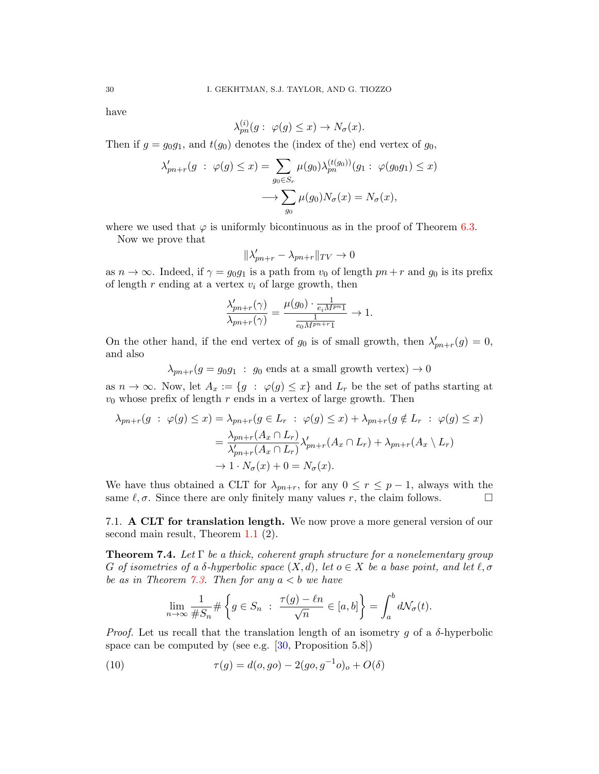have

$$
\lambda_{pn}^{(i)}(g: \varphi(g) \le x) \to N_{\sigma}(x).
$$

Then if  $g = g_0g_1$ , and  $t(g_0)$  denotes the (index of the) end vertex of  $g_0$ ,

$$
\lambda'_{pn+r}(g \; : \; \varphi(g) \le x) = \sum_{g_0 \in S_r} \mu(g_0) \lambda_{pn}^{(t(g_0))}(g_1 \; : \; \varphi(g_0 g_1) \le x)
$$

$$
\longrightarrow \sum_{g_0} \mu(g_0) N_{\sigma}(x) = N_{\sigma}(x),
$$

where we used that  $\varphi$  is uniformly bicontinuous as in the proof of Theorem [6.3.](#page-25-0)

Now we prove that

$$
\|\lambda'_{pn+r} - \lambda_{pn+r}\|_{TV} \to 0
$$

as  $n \to \infty$ . Indeed, if  $\gamma = g_0 g_1$  is a path from  $v_0$  of length  $pn + r$  and  $g_0$  is its prefix of length  $r$  ending at a vertex  $v_i$  of large growth, then

$$
\frac{\lambda'_{pn+r}(\gamma)}{\lambda_{pn+r}(\gamma)}=\frac{\mu(g_0)\cdot\frac{1}{e_iM^{pn}1}}{\frac{1}{e_0M^{pn+r}1}}\rightarrow 1.
$$

On the other hand, if the end vertex of  $g_0$  is of small growth, then  $\lambda'_{pn+r}(g) = 0$ , and also

 $\lambda_{pn+r}(g = g_0g_1 : g_0$  ends at a small growth vertex)  $\rightarrow 0$ 

as  $n \to \infty$ . Now, let  $A_x := \{g : \varphi(g) \leq x\}$  and  $L_r$  be the set of paths starting at  $v_0$  whose prefix of length r ends in a vertex of large growth. Then

$$
\lambda_{pn+r}(g : \varphi(g) \le x) = \lambda_{pn+r}(g \in L_r : \varphi(g) \le x) + \lambda_{pn+r}(g \notin L_r : \varphi(g) \le x)
$$
  
= 
$$
\frac{\lambda_{pn+r}(A_x \cap L_r)}{\lambda'_{pn+r}(A_x \cap L_r)} \lambda'_{pn+r}(A_x \cap L_r) + \lambda_{pn+r}(A_x \setminus L_r)
$$
  

$$
\to 1 \cdot N_{\sigma}(x) + 0 = N_{\sigma}(x).
$$

We have thus obtained a CLT for  $\lambda_{pn+r}$ , for any  $0 \leq r \leq p-1$ , always with the same  $\ell, \sigma$ . Since there are only finitely many values r, the claim follows.

7.1. A CLT for translation length. We now prove a more general version of our second main result, Theorem [1.1](#page-1-0)  $(2)$ .

<span id="page-29-0"></span>**Theorem 7.4.** Let  $\Gamma$  be a thick, coherent graph structure for a nonelementary group G of isometries of a  $\delta$ -hyperbolic space  $(X, d)$ , let  $o \in X$  be a base point, and let  $\ell, \sigma$ be as in Theorem [7.3.](#page-28-0) Then for any  $a < b$  we have

<span id="page-29-1"></span>
$$
\lim_{n \to \infty} \frac{1}{\#S_n} \# \left\{ g \in S_n \ : \ \frac{\tau(g) - \ell n}{\sqrt{n}} \in [a, b] \right\} = \int_a^b d\mathcal{N}_{\sigma}(t).
$$

*Proof.* Let us recall that the translation length of an isometry g of a  $\delta$ -hyperbolic space can be computed by (see e.g. [\[30,](#page-35-10) Proposition 5.8])

(10) 
$$
\tau(g) = d(o, go) - 2(go, g^{-1}o)_o + O(\delta)
$$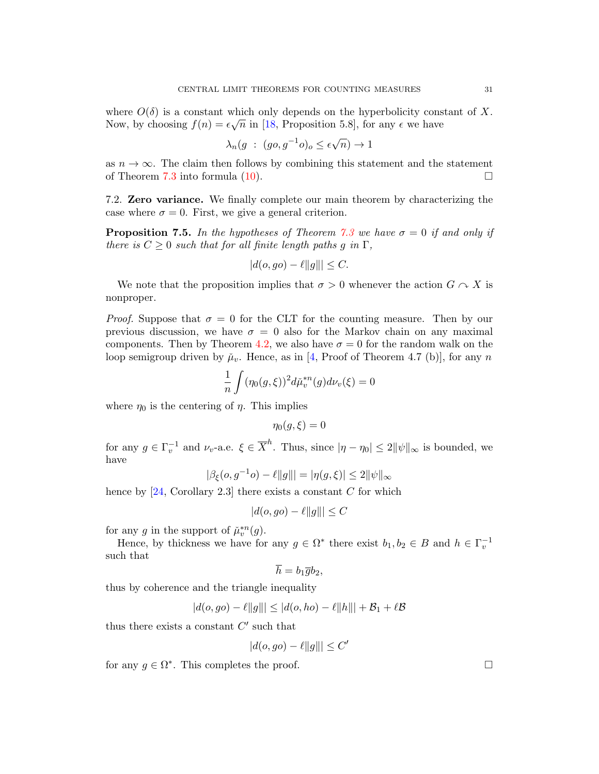where  $O(\delta)$  is a constant which only depends on the hyperbolicity constant of X. Now, by choosing  $f(n) = \epsilon \sqrt{n}$  in [\[18,](#page-34-8) Proposition 5.8], for any  $\epsilon$  we have

$$
\lambda_n(g \; : \; (go, g^{-1}o)_o \le \epsilon \sqrt{n}) \to 1
$$

as  $n \to \infty$ . The claim then follows by combining this statement and the statement of Theorem [7.3](#page-28-0) into formula [\(10\)](#page-29-1).  $\Box$ 

7.2. Zero variance. We finally complete our main theorem by characterizing the case where  $\sigma = 0$ . First, we give a general criterion.

<span id="page-30-0"></span>**Proposition 7.5.** In the hypotheses of Theorem [7.3](#page-28-0) we have  $\sigma = 0$  if and only if there is  $C \geq 0$  such that for all finite length paths g in  $\Gamma$ ,

$$
|d(o, go) - \ell ||g||| \le C.
$$

We note that the proposition implies that  $\sigma > 0$  whenever the action  $G \sim X$  is nonproper.

*Proof.* Suppose that  $\sigma = 0$  for the CLT for the counting measure. Then by our previous discussion, we have  $\sigma = 0$  also for the Markov chain on any maximal components. Then by Theorem [4.2,](#page-13-0) we also have  $\sigma = 0$  for the random walk on the loop semigroup driven by  $\mu_v$ . Hence, as in [\[4,](#page-34-7) Proof of Theorem 4.7 (b)], for any n

$$
\frac{1}{n}\int (\eta_0(g,\xi))^2 d\check{\mu}_v^{*n}(g) d\nu_v(\xi) = 0
$$

where  $\eta_0$  is the centering of  $\eta$ . This implies

$$
\eta_0(g,\xi)=0
$$

for any  $g \in \Gamma_v^{-1}$  and  $\nu_v$ -a.e.  $\xi \in \overline{X}^h$ . Thus, since  $|\eta - \eta_0| \leq 2||\psi||_{\infty}$  is bounded, we have

$$
|\beta_{\xi}(o, g^{-1}o) - \ell ||g||| = |\eta(g, \xi)| \le 2 ||\psi||_{\infty}
$$

hence by  $[24, Corollary 2.3]$  there exists a constant C for which

$$
|d(o, go) - \ell ||g||| \le C
$$

for any g in the support of  $\tilde{\mu}_v^{*n}(g)$ .

Hence, by thickness we have for any  $g \in \Omega^*$  there exist  $b_1, b_2 \in B$  and  $h \in \Gamma_v^{-1}$ such that

$$
\overline{h}=b_1\overline{g}b_2,
$$

thus by coherence and the triangle inequality

$$
|d(o, go) - \ell ||g||| \leq |d(o, ho) - \ell ||h||| + \mathcal{B}_1 + \ell \mathcal{B}
$$

thus there exists a constant  $C'$  such that

$$
|d(o, go) - \ell ||g||| \le C'
$$

for any  $g \in \Omega^*$ . This completes the proof.  $\Box$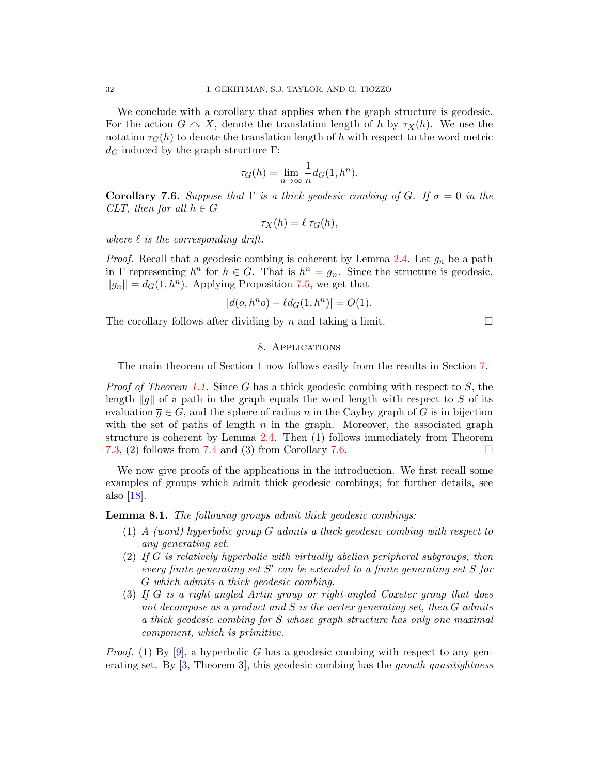We conclude with a corollary that applies when the graph structure is geodesic. For the action  $G \curvearrowright X$ , denote the translation length of h by  $\tau_X(h)$ . We use the notation  $\tau_G(h)$  to denote the translation length of h with respect to the word metric  $d_G$  induced by the graph structure Γ:

$$
\tau_G(h) = \lim_{n \to \infty} \frac{1}{n} d_G(1, h^n).
$$

<span id="page-31-2"></span>**Corollary 7.6.** Suppose that  $\Gamma$  is a thick geodesic combing of G. If  $\sigma = 0$  in the CLT, then for all  $h \in G$ 

$$
\tau_X(h) = \ell \tau_G(h),
$$

where  $\ell$  is the corresponding drift.

*Proof.* Recall that a geodesic combing is coherent by Lemma [2.4.](#page-8-1) Let  $g_n$  be a path in  $\Gamma$  representing  $h^n$  for  $h \in G$ . That is  $h^n = \overline{g}_n$ . Since the structure is geodesic,  $||g_n|| = d_G(1, h^n)$ . Applying Proposition [7.5,](#page-30-0) we get that

$$
|d(o, h^n o) - \ell d_G(1, h^n)| = O(1).
$$

<span id="page-31-1"></span>The corollary follows after dividing by n and taking a limit.  $\square$ 

## 8. Applications

The main theorem of Section [1](#page-0-0) now follows easily from the results in Section [7.](#page-27-0)

*Proof of Theorem [1.1.](#page-1-0)* Since G has a thick geodesic combing with respect to S, the length ||q|| of a path in the graph equals the word length with respect to S of its evaluation  $\overline{q} \in G$ , and the sphere of radius n in the Cayley graph of G is in bijection with the set of paths of length  $n$  in the graph. Moreover, the associated graph structure is coherent by Lemma [2.4.](#page-8-1) Then (1) follows immediately from Theorem [7.3,](#page-28-0) (2) follows from [7.4](#page-29-0) and (3) from Corollary [7.6.](#page-31-2)  $\square$ 

We now give proofs of the applications in the introduction. We first recall some examples of groups which admit thick geodesic combings; for further details, see also [\[18\]](#page-34-8).

<span id="page-31-0"></span>**Lemma 8.1.** The following groups admit thick geodesic combings:

- (1) A (word) hyperbolic group G admits a thick geodesic combing with respect to any generating set.
- (2) If G is relatively hyperbolic with virtually abelian peripheral subgroups, then every finite generating set  $S'$  can be extended to a finite generating set  $S$  for G which admits a thick geodesic combing.
- (3) If G is a right-angled Artin group or right-angled Coxeter group that does not decompose as a product and  $S$  is the vertex generating set, then  $G$  admits a thick geodesic combing for S whose graph structure has only one maximal component, which is primitive.

*Proof.* (1) By [\[9\]](#page-34-11), a hyperbolic G has a geodesic combing with respect to any generating set. By  $[3,$  Theorem 3, this geodesic combing has the growth quasitightness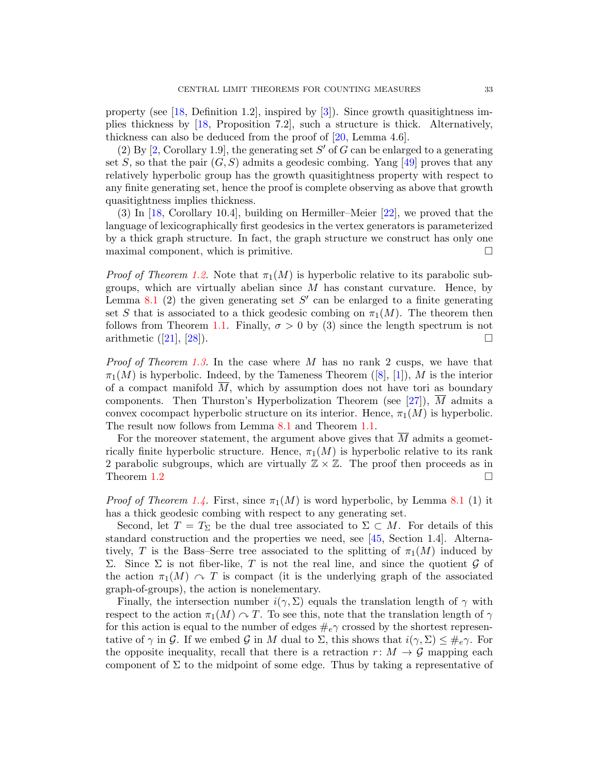property (see [\[18,](#page-34-8) Definition 1.2], inspired by [\[3\]](#page-34-12)). Since growth quasitightness implies thickness by [\[18,](#page-34-8) Proposition 7.2], such a structure is thick. Alternatively, thickness can also be deduced from the proof of [\[20,](#page-34-13) Lemma 4.6].

(2) By  $[2,$  Corollary 1.9, the generating set S' of G can be enlarged to a generating set S, so that the pair  $(G, S)$  admits a geodesic combing. Yang [\[49\]](#page-36-1) proves that any relatively hyperbolic group has the growth quasitightness property with respect to any finite generating set, hence the proof is complete observing as above that growth quasitightness implies thickness.

(3) In [\[18,](#page-34-8) Corollary 10.4], building on Hermiller–Meier [\[22\]](#page-35-17), we proved that the language of lexicographically first geodesics in the vertex generators is parameterized by a thick graph structure. In fact, the graph structure we construct has only one maximal component, which is primitive.  $\Box$ 

*Proof of Theorem [1.2.](#page-2-0)* Note that  $\pi_1(M)$  is hyperbolic relative to its parabolic subgroups, which are virtually abelian since  $M$  has constant curvature. Hence, by Lemma [8.1](#page-31-0) (2) the given generating set  $S'$  can be enlarged to a finite generating set S that is associated to a thick geodesic combing on  $\pi_1(M)$ . The theorem then follows from Theorem [1.1.](#page-1-0) Finally,  $\sigma > 0$  by (3) since the length spectrum is not arithmetic $([21], [28])$  $([21], [28])$  $([21], [28])$  $([21], [28])$  $([21], [28])$ .

*Proof of Theorem [1.3.](#page-3-0)* In the case where M has no rank 2 cusps, we have that  $\pi_1(M)$ is hyperbolic. Indeed, by the Tameness Theorem ([\[8\]](#page-34-15), [\[1\]](#page-34-16)), M is the interior of a compact manifold  $\overline{M}$ , which by assumption does not have tori as boundary components. Then Thurston's Hyperbolization Theorem (see  $[27]$ ), M admits a convex cocompact hyperbolic structure on its interior. Hence,  $\pi_1(M)$  is hyperbolic. The result now follows from Lemma [8.1](#page-31-0) and Theorem [1.1.](#page-1-0)

For the moreover statement, the argument above gives that  $\overline{M}$  admits a geometrically finite hyperbolic structure. Hence,  $\pi_1(M)$  is hyperbolic relative to its rank 2 parabolic subgroups, which are virtually  $\mathbb{Z} \times \mathbb{Z}$ . The proof then proceeds as in Theorem [1.2](#page-2-0)  $\Box$ 

*Proof of Theorem [1.4.](#page-3-1)* First, since  $\pi_1(M)$  is word hyperbolic, by Lemma [8.1](#page-31-0) (1) it has a thick geodesic combing with respect to any generating set.

Second, let  $T = T_{\Sigma}$  be the dual tree associated to  $\Sigma \subset M$ . For details of this standard construction and the properties we need, see [\[45,](#page-35-21) Section 1.4]. Alternatively, T is the Bass–Serre tree associated to the splitting of  $\pi_1(M)$  induced by Σ. Since Σ is not fiber-like, T is not the real line, and since the quotient  $G$  of the action  $\pi_1(M) \cap T$  is compact (it is the underlying graph of the associated graph-of-groups), the action is nonelementary.

Finally, the intersection number  $i(\gamma, \Sigma)$  equals the translation length of  $\gamma$  with respect to the action  $\pi_1(M) \cap T$ . To see this, note that the translation length of  $\gamma$ for this action is equal to the number of edges  $\#_e\gamma$  crossed by the shortest representative of  $\gamma$  in G. If we embed G in M dual to  $\Sigma$ , this shows that  $i(\gamma, \Sigma) \leq \#_e \gamma$ . For the opposite inequality, recall that there is a retraction  $r: M \to \mathcal{G}$  mapping each component of  $\Sigma$  to the midpoint of some edge. Thus by taking a representative of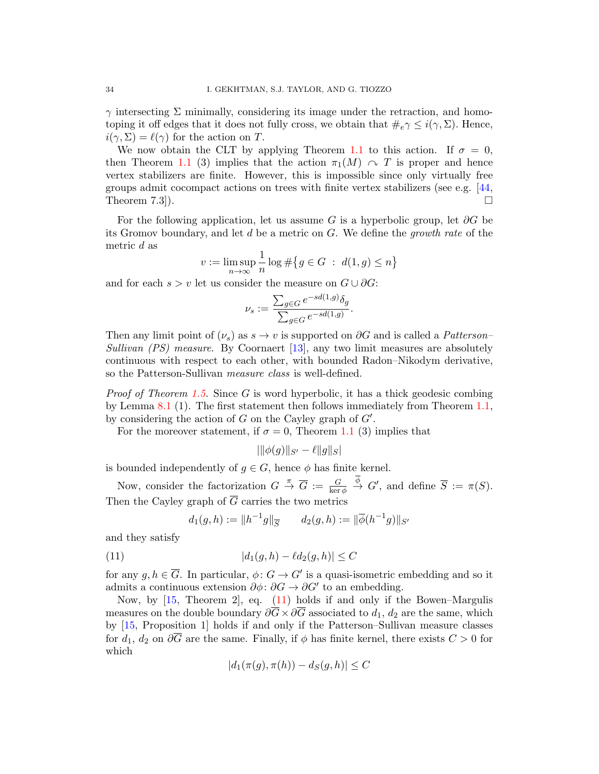$\gamma$  intersecting  $\Sigma$  minimally, considering its image under the retraction, and homotoping it off edges that it does not fully cross, we obtain that  $\#_e \gamma \leq i(\gamma, \Sigma)$ . Hence,  $i(\gamma, \Sigma) = \ell(\gamma)$  for the action on T.

We now obtain the CLT by applying Theorem [1.1](#page-1-0) to this action. If  $\sigma = 0$ , then Theorem [1.1](#page-1-0) (3) implies that the action  $\pi_1(M) \curvearrowright T$  is proper and hence vertex stabilizers are finite. However, this is impossible since only virtually free groups admit cocompact actions on trees with finite vertex stabilizers (see e.g. [\[44,](#page-35-22) Theorem 7.3]).  $\square$ 

For the following application, let us assume G is a hyperbolic group, let  $\partial G$  be its Gromov boundary, and let  $d$  be a metric on  $G$ . We define the growth rate of the metric d as

$$
v := \limsup_{n \to \infty} \frac{1}{n} \log \# \big\{ g \in G \ : \ d(1, g) \le n \big\}
$$

and for each  $s > v$  let us consider the measure on  $G \cup \partial G$ :

$$
\nu_s := \frac{\sum_{g \in G} e^{-sd(1,g)} \delta_g}{\sum_{g \in G} e^{-sd(1,g)}}.
$$

Then any limit point of  $(\nu_s)$  as  $s \to v$  is supported on  $\partial G$  and is called a *Patterson–* Sullivan (PS) measure. By Coornaert [\[13\]](#page-34-17), any two limit measures are absolutely continuous with respect to each other, with bounded Radon–Nikodym derivative, so the Patterson-Sullivan *measure class* is well-defined.

*Proof of Theorem [1.5.](#page-3-2)* Since G is word hyperbolic, it has a thick geodesic combing by Lemma [8.1](#page-31-0) (1). The first statement then follows immediately from Theorem [1.1,](#page-1-0) by considering the action of  $G$  on the Cayley graph of  $G'$ .

For the moreover statement, if  $\sigma = 0$ , Theorem [1.1](#page-1-0) (3) implies that

$$
|\|\phi(g)\|_{S'} - \ell \|g\|_S|
$$

is bounded independently of  $g \in G$ , hence  $\phi$  has finite kernel.

Now, consider the factorization  $G \stackrel{\pi}{\to} \overline{G} := \frac{G}{\ker \phi} \stackrel{\phi}{\to} G'$ , and define  $\overline{S} := \pi(S)$ . Then the Cayley graph of  $\overline{G}$  carries the two metrics

<span id="page-33-0"></span>
$$
d_1(g, h) := ||h^{-1}g||_{\overline{S}}
$$
  $d_2(g, h) := ||\overline{\phi}(h^{-1}g)||_{S'}$ 

and they satisfy

(11) 
$$
|d_1(g, h) - \ell d_2(g, h)| \le C
$$

for any  $g, h \in \overline{G}$ . In particular,  $\phi: G \to G'$  is a quasi-isometric embedding and so it admits a continuous extension  $\partial \phi$ :  $\partial G \to \partial G'$  to an embedding.

Now, by [\[15,](#page-34-18) Theorem 2], eq. [\(11\)](#page-33-0) holds if and only if the Bowen–Margulis measures on the double boundary  $\partial \overline{G} \times \partial \overline{G}$  associated to  $d_1, d_2$  are the same, which by [\[15,](#page-34-18) Proposition 1] holds if and only if the Patterson–Sullivan measure classes for  $d_1, d_2$  on  $\partial \overline{G}$  are the same. Finally, if  $\phi$  has finite kernel, there exists  $C > 0$  for which

$$
|d_1(\pi(g), \pi(h)) - d_S(g, h)| \le C
$$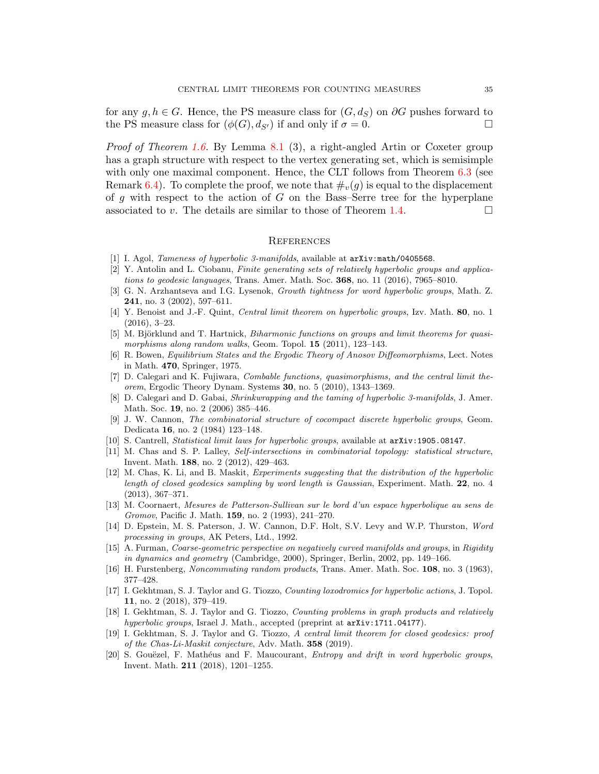for any  $q, h \in G$ . Hence, the PS measure class for  $(G, d_S)$  on  $\partial G$  pushes forward to the PS measure class for  $(\phi(G), d_{S'})$  if and only if  $\sigma = 0$ .

*Proof of Theorem [1.6.](#page-4-0)* By Lemma [8.1](#page-31-0) (3), a right-angled Artin or Coxeter group has a graph structure with respect to the vertex generating set, which is semisimple with only one maximal component. Hence, the CLT follows from Theorem  $6.3$  (see Remark [6.4\)](#page-25-2). To complete the proof, we note that  $\#_v(q)$  is equal to the displacement of q with respect to the action of  $G$  on the Bass–Serre tree for the hyperplane associated to v. The details are similar to those of Theorem [1.4.](#page-3-1)

#### **REFERENCES**

- <span id="page-34-16"></span>[1] I. Agol, Tameness of hyperbolic 3-manifolds, available at  $arXiv:math/0405568$ .
- <span id="page-34-14"></span>[2] Y. Antolin and L. Ciobanu, Finite generating sets of relatively hyperbolic groups and applications to geodesic languages, Trans. Amer. Math. Soc. 368, no. 11 (2016), 7965–8010.
- <span id="page-34-12"></span>[3] G. N. Arzhantseva and I.G. Lysenok, Growth tightness for word hyperbolic groups, Math. Z. 241, no. 3 (2002), 597–611.
- <span id="page-34-7"></span>[4] Y. Benoist and J.-F. Quint, Central limit theorem on hyperbolic groups, Izv. Math. 80, no. 1 (2016), 3–23.
- [5] M. Björklund and T. Hartnick, Biharmonic functions on groups and limit theorems for quasimorphisms along random walks, Geom. Topol. **15** (2011), 123-143.
- <span id="page-34-0"></span>[6] R. Bowen, Equilibrium States and the Ergodic Theory of Anosov Diffeomorphisms, Lect. Notes in Math. 470, Springer, 1975.
- <span id="page-34-1"></span>[7] D. Calegari and K. Fujiwara, Combable functions, quasimorphisms, and the central limit theorem, Ergodic Theory Dynam. Systems 30, no. 5 (2010), 1343–1369.
- <span id="page-34-15"></span>[8] D. Calegari and D. Gabai, Shrinkwrapping and the taming of hyperbolic 3-manifolds, J. Amer. Math. Soc. 19, no. 2 (2006) 385–446.
- <span id="page-34-11"></span>[9] J. W. Cannon, The combinatorial structure of cocompact discrete hyperbolic groups, Geom. Dedicata 16, no. 2 (1984) 123–148.
- <span id="page-34-5"></span>[10] S. Cantrell, Statistical limit laws for hyperbolic groups, available at arXiv:1905.08147.
- <span id="page-34-6"></span>[11] M. Chas and S. P. Lalley, Self-intersections in combinatorial topology: statistical structure, Invent. Math. 188, no. 2 (2012), 429–463.
- <span id="page-34-4"></span>[12] M. Chas, K. Li, and B. Maskit, *Experiments suggesting that the distribution of the hyperbolic* length of closed geodesics sampling by word length is Gaussian, Experiment. Math. 22, no. 4 (2013), 367–371.
- <span id="page-34-17"></span>[13] M. Coornaert, Mesures de Patterson-Sullivan sur le bord d'un espace hyperbolique au sens de Gromov, Pacific J. Math. 159, no. 2 (1993), 241–270.
- <span id="page-34-9"></span>[14] D. Epstein, M. S. Paterson, J. W. Cannon, D.F. Holt, S.V. Levy and W.P. Thurston, Word processing in groups, AK Peters, Ltd., 1992.
- <span id="page-34-18"></span>[15] A. Furman, Coarse-geometric perspective on negatively curved manifolds and groups, in Rigidity in dynamics and geometry (Cambridge, 2000), Springer, Berlin, 2002, pp. 149–166.
- <span id="page-34-10"></span>[16] H. Furstenberg, Noncommuting random products, Trans. Amer. Math. Soc. 108, no. 3 (1963), 377–428.
- <span id="page-34-3"></span>[17] I. Gekhtman, S. J. Taylor and G. Tiozzo, Counting loxodromics for hyperbolic actions, J. Topol. 11, no. 2 (2018), 379–419.
- <span id="page-34-8"></span>[18] I. Gekhtman, S. J. Taylor and G. Tiozzo, *Counting problems in graph products and relatively* hyperbolic groups, Israel J. Math., accepted (preprint at  $arXiv:1711.04177$ ).
- <span id="page-34-2"></span>[19] I. Gekhtman, S. J. Taylor and G. Tiozzo, A central limit theorem for closed geodesics: proof of the Chas-Li-Maskit conjecture, Adv. Math. 358 (2019).
- <span id="page-34-13"></span>[20] S. Gouëzel, F. Mathéus and F. Maucourant, Entropy and drift in word hyperbolic groups, Invent. Math. 211 (2018), 1201–1255.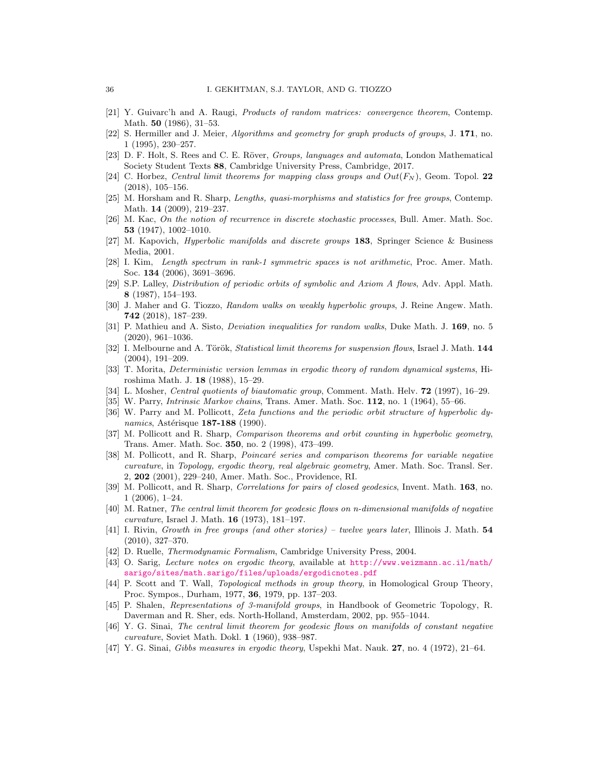- <span id="page-35-18"></span>[21] Y. Guivarc'h and A. Raugi, Products of random matrices: convergence theorem, Contemp. Math. 50 (1986), 31–53.
- <span id="page-35-17"></span>[22] S. Hermiller and J. Meier, Algorithms and geometry for graph products of groups, J. 171, no. 1 (1995), 230–257.
- [23] D. F. Holt, S. Rees and C. E. Röver, Groups, languages and automata, London Mathematical Society Student Texts 88, Cambridge University Press, Cambridge, 2017.
- <span id="page-35-9"></span>[24] C. Horbez, Central limit theorems for mapping class groups and  $Out(F_N)$ , Geom. Topol. 22 (2018), 105–156.
- <span id="page-35-7"></span>[25] M. Horsham and R. Sharp, Lengths, quasi-morphisms and statistics for free groups, Contemp. Math. 14 (2009), 219–237.
- <span id="page-35-16"></span>[26] M. Kac, On the notion of recurrence in discrete stochastic processes, Bull. Amer. Math. Soc. 53 (1947), 1002–1010.
- <span id="page-35-20"></span>[27] M. Kapovich, *Hyperbolic manifolds and discrete groups* 183, Springer Science & Business Media, 2001.
- <span id="page-35-19"></span>[28] I. Kim, Length spectrum in rank-1 symmetric spaces is not arithmetic, Proc. Amer. Math. Soc. 134 (2006), 3691–3696.
- <span id="page-35-2"></span>[29] S.P. Lalley, Distribution of periodic orbits of symbolic and Axiom A flows, Adv. Appl. Math. 8 (1987), 154–193.
- <span id="page-35-10"></span>[30] J. Maher and G. Tiozzo, Random walks on weakly hyperbolic groups, J. Reine Angew. Math. 742 (2018), 187–239.
- [31] P. Mathieu and A. Sisto, *Deviation inequalities for random walks*, Duke Math. J. 169, no. 5 (2020), 961–1036.
- <span id="page-35-14"></span>[32] I. Melbourne and A. Török, Statistical limit theorems for suspension flows, Israel J. Math. 144 (2004), 191–209.
- <span id="page-35-12"></span>[33] T. Morita, Deterministic version lemmas in ergodic theory of random dynamical systems, Hiroshima Math. J. 18 (1988), 15–29.
- <span id="page-35-11"></span>[34] L. Mosher, Central quotients of biautomatic group, Comment. Math. Helv. 72 (1997), 16–29.
- <span id="page-35-13"></span>[35] W. Parry, *Intrinsic Markov chains*, Trans. Amer. Math. Soc. 112, no. 1 (1964), 55–66.
- <span id="page-35-5"></span>[36] W. Parry and M. Pollicott, Zeta functions and the periodic orbit structure of hyperbolic dynamics, Astérisque  $187-188$  (1990).
- <span id="page-35-6"></span>[37] M. Pollicott and R. Sharp, Comparison theorems and orbit counting in hyperbolic geometry, Trans. Amer. Math. Soc. 350, no. 2 (1998), 473–499.
- [38] M. Pollicott, and R. Sharp, Poincaré series and comparison theorems for variable negative curvature, in Topology, ergodic theory, real algebraic geometry, Amer. Math. Soc. Transl. Ser. 2, 202 (2001), 229–240, Amer. Math. Soc., Providence, RI.
- [39] M. Pollicott, and R. Sharp, Correlations for pairs of closed geodesics, Invent. Math. 163, no. 1 (2006), 1–24.
- <span id="page-35-1"></span>[40] M. Ratner, The central limit theorem for geodesic flows on n-dimensional manifolds of negative curvature, Israel J. Math. 16 (1973), 181–197.
- <span id="page-35-8"></span>[41] I. Rivin, Growth in free groups (and other stories) – twelve years later, Illinois J. Math. 54 (2010), 327–370.
- <span id="page-35-4"></span>[42] D. Ruelle, Thermodynamic Formalism, Cambridge University Press, 2004.
- <span id="page-35-15"></span>[43] O. Sarig, Lecture notes on ergodic theory, available at [http://www.weizmann.ac.il/math/](http://www.weizmann.ac.il/math/sarigo/sites/math.sarigo/files/uploads/ergodicnotes.pdf) [sarigo/sites/math.sarigo/files/uploads/ergodicnotes.pdf](http://www.weizmann.ac.il/math/sarigo/sites/math.sarigo/files/uploads/ergodicnotes.pdf)
- <span id="page-35-22"></span>[44] P. Scott and T. Wall, Topological methods in group theory, in Homological Group Theory, Proc. Sympos., Durham, 1977, 36, 1979, pp. 137–203.
- <span id="page-35-21"></span>[45] P. Shalen, Representations of 3-manifold groups, in Handbook of Geometric Topology, R. Daverman and R. Sher, eds. North-Holland, Amsterdam, 2002, pp. 955–1044.
- <span id="page-35-0"></span>[46] Y. G. Sinai, The central limit theorem for geodesic flows on manifolds of constant negative curvature, Soviet Math. Dokl. 1 (1960), 938–987.
- <span id="page-35-3"></span>[47] Y. G. Sinai, Gibbs measures in ergodic theory, Uspekhi Mat. Nauk. 27, no. 4 (1972), 21–64.